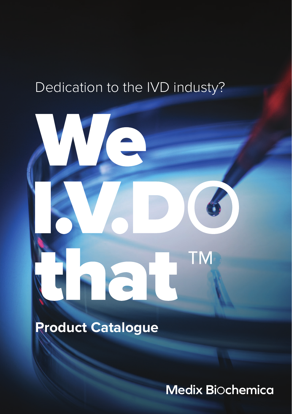# Dedication to the IVD industy?

# ГM

**Product Catalogue**

Medix Biochemica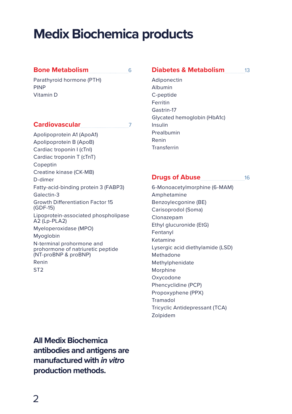# **Medix Biochemica products**

#### **Bone Metabolism** 6

Parathyroid hormone (PTH) PINP Vitamin D

## **Cardiovascular** 7

Apolipoprotein A1 (ApoA1) Apolipoprotein B (ApoB) Cardiac troponin I (cTnI) Cardiac troponin T (cTnT) Copeptin Creatine kinase (CK-MB) D-dimer Fatty-acid-binding protein 3 (FABP3) Galectin-3 Growth Differentiation Factor 15 (GDF-15) Lipoprotein-associated phospholipase A2 (Lp-PLA2) Myeloperoxidase (MPO) Myoglobin N-terminal prohormone and prohormone of natriuretic peptide (NT-proBNP & proBNP) Renin ST2

#### **Diabetes & Metabolism** 13

Adiponectin Albumin C-peptide Ferritin Gastrin-17 Glycated hemoglobin (HbA1c) Insulin Prealbumin Renin Transferrin

## **Drugs of Abuse** 16

6-Monoacetylmorphine (6-MAM) Amphetamine Benzoylecgonine (BE) Carisoprodol (Soma) Clonazepam Ethyl glucuronide (EtG) Fentanyl Ketamine Lysergic acid diethylamide (LSD) Methadone Methylphenidate Morphine Oxycodone Phencyclidine (PCP) Propoxyphene (PPX) Tramadol Tricyclic Antidepressant (TCA) Zolpidem

**All Medix Biochemica antibodies and antigens are manufactured with** *in vitro* **production methods.**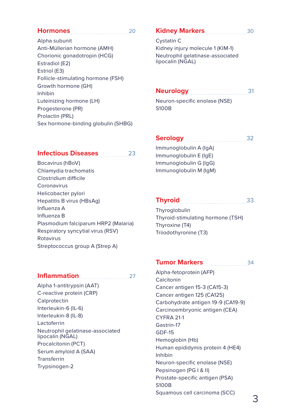Alpha subunit Anti-Müllerian hormone (AMH) Chorionic gonadotropin (HCG) Estradiol (E2) Estriol (E3) Follicle-stimulating hormone (FSH) Growth hormone (GH) Inhibin Luteinizing hormone (LH) Progesterone (PR) Prolactin (PRL) Sex hormone-binding globulin (SHBG)

## Kidney Markers 30

Cystatin C Kidney injury molecule 1 (KIM-1) Neutrophil gelatinase-associated lipocalin (NGAL)

#### **Neurology** 31

Neuron-specific enolase (NSE) S100B

#### **Infectious Diseases** 23

Bocavirus (hBoV) Chlamydia trachomatis Clostridium difficile Coronavirus Helicobacter pylori Hepatitis B virus (HBsAg) Influenza A Influenza B Plasmodium falciparum HRP2 (Malaria) Respiratory syncytial virus (RSV) Rotavirus Streptococcus group A (Strep A)

#### **Inflammation** 27

Alpha 1-antitrypsin (AAT) C-reactive protein (CRP) Calprotectin Interleukin-6 (IL-6) Interleukin-8 (IL-8) Lactoferrin Neutrophil gelatinase-associated lipocalin (NGAL) Procalcitonin (PCT) Serum amyloid A (SAA) **Transferrin** Trypsinogen-2

**Serology** 32 Immunoglobulin A (IgA)

Immunoglobulin E (IgE) Immunoglobulin G (IgG) Immunoglobulin M (IgM)

#### **Thyroid** 33

Thyroglobulin Thyroid-stimulating hormone (TSH) Thyroxine (T4) Triiodothyronine (T3)

## Tumor Markers 34

Alpha-fetoprotein (AFP) Calcitonin Cancer antigen 15-3 (CA15-3) Cancer antigen 125 (CA125) Carbohydrate antigen 19-9 (CA19-9) Carcinoembryonic antigen (CEA) CYFRA 21-1 Gastrin-17 GDF-15 Hemoglobin (Hb) Human epididymis protein 4 (HE4) Inhibin Neuron-specific enolase (NSE) Pepsinogen (PG I & II) Prostate-specific antigen (PSA) S100B Squamous cell carcinoma (SCC)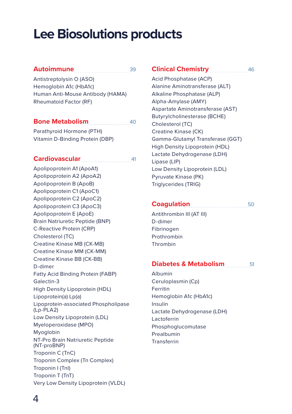# **Lee Biosolutions products**

#### Autoimmune 39

Antistreptolysin O (ASO) Hemoglobin A1c (HbA1c) Human Anti-Mouse Antibody (HAMA) Rheumatoid Factor (RF)

#### **Bone Metabolism** 40

Parathyroid Hormone (PTH) Vitamin D-Binding Protein (DBP)

#### **Cardiovascular** 41

Apolipoprotein A1 (ApoA1) Apolipoprotein A2 (ApoA2) Apolipoprotein B (ApoB) Apolipoprotein C1 (ApoC1) Apolipoprotein C2 (ApoC2) Apolipoprotein C3 (ApoC3) Apolipoprotein E (ApoE) Brain Natriuretic Peptide (BNP) C-Reactive Protein (CRP) Cholesterol (TC) Creatine Kinase MB (CK-MB) Creatine Kinase MM (CK-MM) Creatine Kinase BB (CK-BB) D-dimer Fatty Acid Binding Protein (FABP) Galectin-3 High Density Lipoprotein (HDL) Lipoprotein(a) Lp(a) Lipoprotein-associated Phospholipase (Lp-PLA2) Low Density Lipoprotein (LDL) Myeloperoxidase (MPO) Myoglobin NT-Pro Brain Natriuretic Peptide (NT-proBNP) Troponin C (TnC) Troponin Complex (Tn Complex) Troponin I (TnI) Troponin T (TnT) Very Low Density Lipoprotein (VLDL)

#### **Clinical Chemistry** 46

Acid Phosphatase (ACP) Alanine Aminotransferase (ALT) Alkaline Phosphatase (ALP) Alpha-Amylase (AMY) Aspartate Aminotransferase (AST) Butyrylcholinesterase (BCHE) Cholesterol (TC) Creatine Kinase (CK) Gamma-Glutamyl Transferase (GGT) High Density Lipoprotein (HDL) Lactate Dehydrogenase (LDH) Lipase (LIP) Low Density Lipoprotein (LDL) Pyruvate Kinase (PK) Triglycerides (TRIG)

#### **Coagulation** 50

Antithrombin III (AT III) D-dimer Fibrinogen Prothrombin Thrombin

#### **Diabetes & Metabolism** 51

Albumin Ceruloplasmin (Cp) Ferritin Hemoglobin A1c (HbA1c) Insulin Lactate Dehydrogenase (LDH) Lactoferrin Phosphoglucomutase Prealbumin Transferrin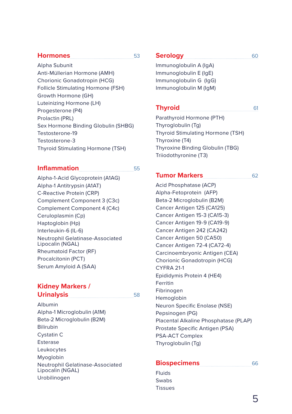Alpha Subunit Anti-Müllerian Hormone (AMH) Chorionic Gonadotropin (HCG) Follicle Stimulating Hormone (FSH) Growth Hormone (GH) Luteinizing Hormone (LH) Progesterone (P4) Prolactin (PRL) Sex Hormone Binding Globulin (SHBG) Testosterone-19 Testosterone-3 Thyroid Stimulating Hormone (TSH)

## **Inflammation** 55

Alpha-1-Acid Glycoprotein (A1AG) Alpha-1 Antitrypsin (A1AT) C-Reactive Protein (CRP) Complement Component 3 (C3c) Complement Component 4 (C4c) Ceruloplasmin (Cp) Haptoglobin (Hp) Interleukin-6 (IL-6) Neutrophil Gelatinase-Associated Lipocalin (NGAL) Rheumatoid Factor (RF) Procalcitonin (PCT) Serum Amyloid A (SAA)

## **Kidney Markers / Urinalysis** 58

Albumin

Alpha-1 Microglobulin (A1M) Beta-2 Microglobulin (B2M) Bilirubin Cystatin C Esterase Leukocytes Myoglobin Neutrophil Gelatinase-Associated Lipocalin (NGAL) Urobilinogen

## Serology 60

Immunoglobulin A (IgA) Immunoglobulin E (IgE) Immunoglobulin G (IgG) Immunoglobulin M (IgM)

## **Thyroid** 61

Parathyroid Hormone (PTH) Thyroglobulin (Tg) Thyroid Stimulating Hormone (TSH) Thyroxine (T4) Thyroxine Binding Globulin (TBG) Triiodothyronine (T3)

## **Tumor Markers** 62

Acid Phosphatase (ACP) Alpha-Fetoprotein (AFP) Beta-2 Microglobulin (B2M) Cancer Antigen 125 (CA125) Cancer Antigen 15-3 (CA15-3) Cancer Antigen 19-9 (CA19-9) Cancer Antigen 242 (CA242) Cancer Antigen 50 (CA50) Cancer Antigen 72-4 (CA72-4) Carcinoembryonic Antigen (CEA) Chorionic Gonadotropin (HCG) CYFRA 21-1 Epididymis Protein 4 (HE4) **Ferritin** Fibrinogen Hemoglobin Neuron Specific Enolase (NSE) Pepsinogen (PG) Placental Alkaline Phosphatase (PLAP) Prostate Specific Antigen (PSA) PSA-ACT Complex Thyroglobulin (Tg)

#### **Biospecimens** 66 Fluids

Swabs Tissues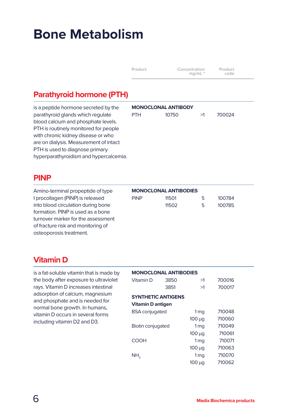# **Bone Metabolism**

| Product | Concentration<br>mq/mL | Product<br>code |  |
|---------|------------------------|-----------------|--|
|         |                        |                 |  |

## **Parathyroid hormone (PTH)**

is a peptide hormone secreted by the parathyroid glands which regulate blood calcium and phosphate levels. PTH is routinely monitored for people with chronic kidney disease or who are on dialysis. Measurement of intact PTH is used to diagnose primary hyperparathyroidism and hypercalcemia.

## **MONOCLONAL ANTIBODY** PTH 10750 >1 700024

## **PINP**

Amino-terminal propeptide of type I procollagen (PINP) is released into blood circulation during bone formation. PINP is used as a bone turnover marker for the assessment of fracture risk and monitoring of osteoporosis treatment.

#### **MONOCLONAL ANTIBODIES** PINP 11501 5 100784 11502 5 100785

## **Vitamin D**

is a fat-soluble vitamin that is made by the body after exposure to ultraviolet rays. Vitamin D increases intestinal adsorption of calcium, magnesium and phosphate and is needed for normal bone growth. In humans, vitamin D occurs in several forms including vitamin D2 and D3.

| <b>MONOCLONAL ANTIBODIES</b> |      |                 |        |  |  |  |
|------------------------------|------|-----------------|--------|--|--|--|
| 3850<br>Vitamin D            |      | >1              | 700016 |  |  |  |
|                              | 3851 | >1              | 700017 |  |  |  |
| <b>SYNTHETIC ANTIGENS</b>    |      |                 |        |  |  |  |
| Vitamin D antigen            |      |                 |        |  |  |  |
| <b>BSA</b> conjugated        |      | 1 <sub>mq</sub> | 710048 |  |  |  |
|                              |      | $100 \mu q$     | 710060 |  |  |  |
| <b>Biotin conjugated</b>     |      | 1 <sub>mq</sub> | 710049 |  |  |  |
|                              |      | $100 \mu q$     | 710061 |  |  |  |
| COOH                         |      | 1 <sub>mq</sub> | 710071 |  |  |  |
|                              |      | $100 \mu g$     | 710063 |  |  |  |
| NH <sub>3</sub>              |      | 1 <sub>mq</sub> | 710070 |  |  |  |
|                              |      | $100 \mu g$     | 710062 |  |  |  |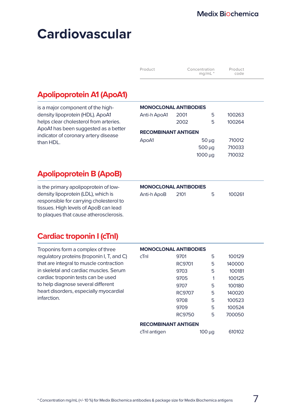| Product | Concentration<br>$mq/mL$ <sup>*</sup> | Product<br>code |  |
|---------|---------------------------------------|-----------------|--|
|---------|---------------------------------------|-----------------|--|

## **Apolipoprotein A1 (ApoA1)**

is a major component of the highdensity lipoprotein (HDL). ApoA1 helps clear cholesterol from arteries. ApoA1 has been suggested as a better indicator of coronary artery disease than HDL.

| <b>MONOCLONAL ANTIBODIES</b> |      |                |        |  |  |  |
|------------------------------|------|----------------|--------|--|--|--|
| Anti-h ApoA1                 | 2001 | 5              | 100263 |  |  |  |
|                              | 2002 | 5              | 100264 |  |  |  |
| <b>RECOMBINANT ANTIGEN</b>   |      |                |        |  |  |  |
| ApoA1                        |      | $50 \mu q$     | 710012 |  |  |  |
| 500 <sub>u</sub><br>710033   |      |                |        |  |  |  |
|                              |      | <b>1000 μα</b> | 710032 |  |  |  |

## **Apolipoprotein B (ApoB)**

is the primary apolipoprotein of lowdensity lipoprotein (LDL), which is responsible for carrying cholesterol to tissues. High levels of ApoB can lead to plaques that cause atherosclerosis.

| Anti-h ApoB | 2101 | 100261 |
|-------------|------|--------|
|             |      |        |

## **Cardiac troponin I (cTnI)**

Troponins form a complex of three regulatory proteins (troponin I, T, and C) that are integral to muscle contraction in skeletal and cardiac muscles. Serum cardiac troponin tests can be used to help diagnose several different heart disorders, especially myocardial infarction.

|                            | <b>MONOCLONAL ANTIBODIES</b> |        |          |  |  |
|----------------------------|------------------------------|--------|----------|--|--|
| cTnI                       | 9701                         | 5      | 100129   |  |  |
|                            | RC9701                       | 5      | 140000   |  |  |
|                            | 9703                         | 5      | 100181   |  |  |
|                            | 9705                         | 1      | 100125   |  |  |
|                            | 9707                         | 5      | 100180   |  |  |
|                            | <b>RC9707</b>                | 5      | 140020   |  |  |
|                            | 9708                         | 5      | 100523   |  |  |
|                            | 9709                         | 5      | 100524   |  |  |
|                            | <b>RC9750</b>                | 5      | 700050   |  |  |
| <b>RECOMBINANT ANTIGEN</b> |                              |        |          |  |  |
| —.                         |                              | $\sim$ | $\cdots$ |  |  |

| cTnl antigen<br>$100 \mu g$ | 610102 |  |
|-----------------------------|--------|--|
|-----------------------------|--------|--|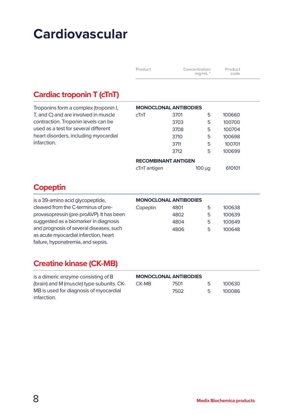| Product | Concentration<br>mq/mL | Product<br>code |
|---------|------------------------|-----------------|
|---------|------------------------|-----------------|

## **Cardiac troponin T (cTnT)**

| Troponins form a complex (troponin I, | <b>MONOCLONAL ANTIBODIES</b> |      |             |        |
|---------------------------------------|------------------------------|------|-------------|--------|
| T, and C) and are involved in muscle  | cTnT                         | 3701 | 5           | 100660 |
| contraction. Troponin levels can be   |                              | 3703 | 5           | 100700 |
| used as a test for several different  |                              | 3708 | 5           | 100704 |
| heart disorders, including myocardial |                              | 3710 | 5           | 100698 |
| infarction.                           |                              | 3711 | 5           | 100701 |
|                                       |                              | 3712 | 5           | 100699 |
|                                       | <b>RECOMBINANT ANTIGEN</b>   |      |             |        |
|                                       | cTnT antigen                 |      | $100 \mu q$ | 610101 |

## **Copeptin**

| is a 39-amino acid glycopeptide,         | <b>MONOCLONAL ANTIBODIES</b> |      |   |        |
|------------------------------------------|------------------------------|------|---|--------|
| cleaved from the C-terminus of pre-      | Copeptin                     | 4801 | 5 | 100638 |
| provasopressin (pre-proAVP). It has been |                              | 4802 | 5 | 100639 |
| suggested as a biomarker in diagnosis    |                              | 4804 | 5 | 100649 |
| and prognosis of several diseases, such  |                              | 4806 | 5 | 100648 |
| as acute myocardial infarction, heart    |                              |      |   |        |
| failure, hyponatremia, and sepsis.       |                              |      |   |        |

## **Creatine kinase (CK-MB)**

| is a dimeric enzyme consisting of B       | <b>MONOCLONAL ANTIBODIES</b> |      |    |        |
|-------------------------------------------|------------------------------|------|----|--------|
| (brain) and M (muscle) type subunits. CK- | CK-MB                        | 7501 | ь. | 100630 |
| MB is used for diagnosis of myocardial    |                              | 7502 | ь, | 100086 |
| infarction.                               |                              |      |    |        |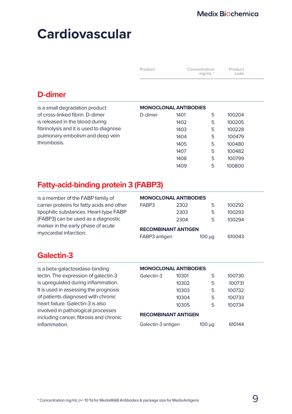| Product | Concentration<br>$mq/mL$ <sup>*</sup> | Product<br>code |  |
|---------|---------------------------------------|-----------------|--|
|         |                                       |                 |  |

## **D-dimer**

| is a small degradation product          | <b>MONOCLONAL ANTIBODIES</b> |      |   |        |  |
|-----------------------------------------|------------------------------|------|---|--------|--|
| of cross-linked fibrin. D-dimer         | D-dimer                      | 1401 | 5 | 100204 |  |
| is released in the blood during         |                              | 1402 | 5 | 100205 |  |
| fibrinolysis and it is used to diagnose |                              | 1403 | 5 | 100228 |  |
| pulmonary embolism and deep vein        |                              | 1404 | 5 | 100479 |  |
| thrombosis.                             |                              | 1405 | 5 | 100480 |  |
|                                         |                              | 1407 | 5 | 100482 |  |
|                                         |                              | 1408 | 5 | 100799 |  |
|                                         |                              | 1409 | 5 | 100800 |  |

## **Fatty-acid-binding protein 3 (FABP3)**

| is a member of the FABP family of                            | <b>MONOCLONAL ANTIBODIES</b> |      |             |        |  |
|--------------------------------------------------------------|------------------------------|------|-------------|--------|--|
| carrier proteins for fatty acids and other                   | FABP3                        | 2302 | 5           | 100292 |  |
| lipophilic substances. Heart-type FABP                       |                              | 2303 | 5           | 100293 |  |
| (FABP3) can be used as a diagnostic                          |                              | 2304 | 5.          | 100294 |  |
| marker in the early phase of acute<br>myocardial infarction. | <b>RECOMBINANT ANTIGEN</b>   |      |             |        |  |
|                                                              | FABP3 antigen                |      | $100 \mu q$ | 610043 |  |

## **Galectin-3**

is a beta-galactosidase-binding lectin. The expression of galectin-3 is upregulated during inflammation. It is used in assessing the prognosis of patients diagnosed with chronic heart failure. Galectin-3 is also involved in pathological processes including cancer, fibrosis and chronic inflammation.

| <b>MONOCLONAL ANTIBODIES</b> |       |        |        |  |  |  |
|------------------------------|-------|--------|--------|--|--|--|
| Galectin-3                   | 10301 | 5      | 100730 |  |  |  |
|                              | 10302 | 5      | 100731 |  |  |  |
|                              | 10303 | 5      | 100732 |  |  |  |
|                              | 10304 | 5      | 100733 |  |  |  |
|                              | 10305 | 5      | 100734 |  |  |  |
| <b>RECOMBINANT ANTIGEN</b>   |       |        |        |  |  |  |
| Galectin-3 antigen           |       | 100 μg | 610144 |  |  |  |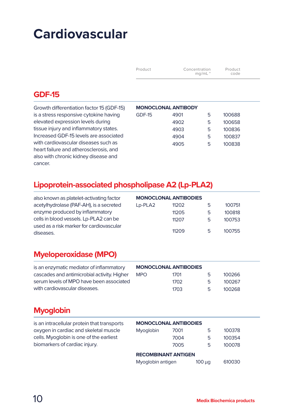| Product | Concentration<br>mq/mL | Product<br>code |  |
|---------|------------------------|-----------------|--|
|---------|------------------------|-----------------|--|

## **GDF-15**

| Growth differentiation factor 15 (GDF-15) | <b>MONOCLONAL ANTIBODY</b> |      |   |        |
|-------------------------------------------|----------------------------|------|---|--------|
| is a stress responsive cytokine having    | GDF-15                     | 4901 | 5 | 100688 |
| elevated expression levels during         |                            | 4902 | 5 | 100658 |
| tissue injury and inflammatory states.    |                            | 4903 | 5 | 100836 |
| Increased GDF-15 levels are associated    |                            | 4904 | 5 | 100837 |
| with cardiovascular diseases such as      |                            | 4905 | 5 | 100838 |
| heart failure and atherosclerosis, and    |                            |      |   |        |
| also with chronic kidney disease and      |                            |      |   |        |
| cancer.                                   |                            |      |   |        |

## **Lipoprotein-associated phospholipase A2 (Lp-PLA2)**

| also known as platelet-activating factor              | <b>MONOCLONAL ANTIBODIES</b> |       |   |        |
|-------------------------------------------------------|------------------------------|-------|---|--------|
| acetylhydrolase (PAF-AH), is a secreted               | Lp-PLA2                      | 11202 | Ь | 100751 |
| enzyme produced by inflammatory                       |                              | 11205 | 5 | 100818 |
| cells in blood vessels. Lp-PLA2 can be                |                              | 11207 | 5 | 100753 |
| used as a risk marker for cardiovascular<br>diseases. |                              | 11209 | 5 | 100755 |

## **Myeloperoxidase (MPO)**

| is an enzymatic mediator of inflammatory    | <b>MONOCLONAL ANTIBODIES</b> |      |    |        |
|---------------------------------------------|------------------------------|------|----|--------|
| cascades and antimicrobial activity. Higher | <b>MPO</b>                   | 1701 | ь. | 100266 |
| serum levels of MPO have been associated    |                              | 1702 | 5. | 100267 |
| with cardiovascular diseases.               |                              | 1703 | 5. | 100268 |

## **Myoglobin**

| is an intracellular protein that transports | <b>MONOCLONAL ANTIBODIES</b> |      |             |        |  |
|---------------------------------------------|------------------------------|------|-------------|--------|--|
| oxygen in cardiac and skeletal muscle       | Myoglobin                    | 7001 | 5           | 100378 |  |
| cells. Myoglobin is one of the earliest     |                              | 7004 | 5           | 100354 |  |
| biomarkers of cardiac injury.               |                              | 7005 | 5           | 100078 |  |
|                                             | <b>RECOMBINANT ANTIGEN</b>   |      |             |        |  |
|                                             | Myoglobin antigen            |      | $100 \mu q$ | 610030 |  |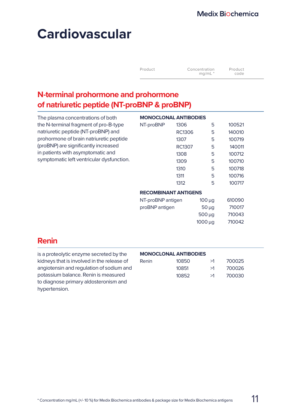| Product | Concentration<br>mq/mL | Product<br>code |
|---------|------------------------|-----------------|
|         |                        |                 |

## **N-terminal prohormone and prohormone of natriuretic peptide (NT-proBNP & proBNP)**

| The plasma concentrations of both         | <b>MONOCLONAL ANTIBODIES</b> |        |              |        |  |
|-------------------------------------------|------------------------------|--------|--------------|--------|--|
| the N-terminal fragment of pro-B-type     | NT-proBNP                    | 1306   | 5            | 100521 |  |
| natriuretic peptide (NT-proBNP) and       |                              | RC1306 | 5            | 140010 |  |
| prohormone of brain natriuretic peptide   |                              | 1307   | 5            | 100719 |  |
| (proBNP) are significantly increased      |                              | RC1307 | 5            | 140011 |  |
| in patients with asymptomatic and         |                              | 1308   | 5            | 100712 |  |
| symptomatic left ventricular dysfunction. |                              | 1309   | 5            | 100710 |  |
|                                           |                              | 1310   | 5            | 100718 |  |
|                                           |                              | 1311   | 5            | 100716 |  |
|                                           |                              | 1312   | 5            | 100717 |  |
|                                           | <b>RECOMBINANT ANTIGENS</b>  |        |              |        |  |
|                                           | NT-proBNP antigen            |        | $100 \mu q$  | 610090 |  |
|                                           | proBNP antigen               |        | $50 \mu q$   | 710017 |  |
|                                           |                              |        | $500 \mu q$  | 710043 |  |
|                                           |                              |        | $1000 \mu q$ | 710042 |  |
|                                           |                              |        |              |        |  |
|                                           |                              |        |              |        |  |

## **Renin**

is a proteolytic enzyme secreted by the kidneys that is involved in the release of angiotensin and regulation of sodium and potassium balance. Renin is measured to diagnose primary aldosteronism and hypertension.

#### **MONOCLONAL ANTIBODIES**

| Renin | 10850 | >1 | 700025 |
|-------|-------|----|--------|
|       | 10851 | >1 | 700026 |
|       | 10852 | >1 | 700030 |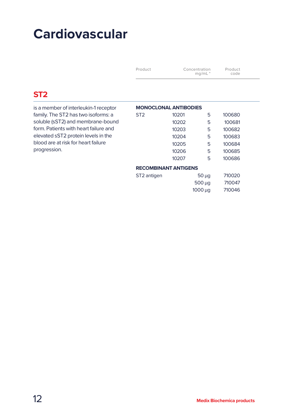| Product | Concentration<br>$mq/mL$ <sup>*</sup> | Product<br>code |
|---------|---------------------------------------|-----------------|
|---------|---------------------------------------|-----------------|

## **ST2**

| is a member of interleukin-1 receptor | <b>MONOCLONAL ANTIBODIES</b> |       |              |        |
|---------------------------------------|------------------------------|-------|--------------|--------|
| family. The ST2 has two isoforms: a   | ST <sub>2</sub>              | 10201 | 5            | 100680 |
| soluble (sST2) and membrane-bound     |                              | 10202 | 5            | 100681 |
| form. Patients with heart failure and |                              | 10203 | 5            | 100682 |
| elevated sST2 protein levels in the   |                              | 10204 | 5            | 100683 |
| blood are at risk for heart failure   |                              | 10205 | 5            | 100684 |
| progression.                          |                              | 10206 | 5            | 100685 |
|                                       |                              | 10207 | 5            | 100686 |
|                                       | <b>RECOMBINANT ANTIGENS</b>  |       |              |        |
|                                       | ST <sub>2</sub> antigen      |       | $50 \mu q$   | 710020 |
|                                       |                              |       | $500 \mu q$  | 710047 |
|                                       |                              |       | $1000 \mu q$ | 710046 |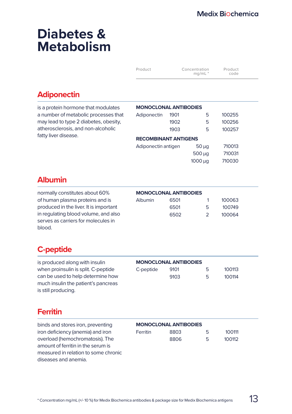# **Diabetes & Metabolism**

| Product | Concentration<br>$mq/mL$ <sup>*</sup> | Product<br>code |
|---------|---------------------------------------|-----------------|
|---------|---------------------------------------|-----------------|

## **Adiponectin**

| is a protein hormone that modulates   | <b>MONOCLONAL ANTIBODIES</b> |      |             |        |
|---------------------------------------|------------------------------|------|-------------|--------|
| a number of metabolic processes that  | Adiponectin                  | 1901 | 5           | 100255 |
| may lead to type 2 diabetes, obesity, |                              | 1902 | 5           | 100256 |
| atherosclerosis, and non-alcoholic    |                              | 1903 | 5           | 100257 |
| fatty liver disease.                  | <b>RECOMBINANT ANTIGENS</b>  |      |             |        |
|                                       | Adiponectin antigen          |      | $50 \mu q$  | 710013 |
|                                       |                              |      | $500 \mu q$ | 710031 |
|                                       |                              |      | 1000 ua     | 710030 |

## **Albumin**

normally constitutes about 60% of human plasma proteins and is produced in the liver. It is important in regulating blood volume, and also serves as carriers for molecules in blood.

| <b>MONOCLONAL ANTIBODIES</b> |                                       |  |  |  |
|------------------------------|---------------------------------------|--|--|--|
|                              | 100063                                |  |  |  |
| Б.                           | 100749                                |  |  |  |
|                              | 100064                                |  |  |  |
|                              | 6501<br>6501<br>6502<br>$\mathcal{P}$ |  |  |  |

## **C-peptide**

is produced along with insulin when proinsulin is split. C-peptide can be used to help determine how much insulin the patient's pancreas is still producing.

| C-peptide | 9101 | 5 | 100113 |
|-----------|------|---|--------|
|           | 9103 | 5 | 100114 |

## **Ferritin**

binds and stores iron, preventing iron deficiency (anemia) and iron overload (hemochromatosis). The amount of ferritin in the serum is measured in relation to some chronic diseases and anemia.

#### **MONOCLONAL ANTIBODIES**

| <b>Ferritin</b> | 8803 | 5 | 100111 |
|-----------------|------|---|--------|
|                 | 8806 | 5 | 100112 |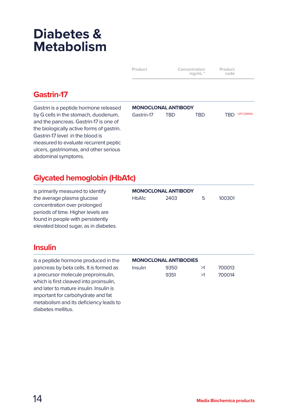# **Diabetes & Metabolism**

| Product | Concentration<br>mq/mL | Product<br>code |
|---------|------------------------|-----------------|
|         |                        |                 |

## **Gastrin-17**

Gastrin is a peptide hormone released by G cells in the stomach, duodenum, and the pancreas. Gastrin-17 is one of the biologically active forms of gastrin. Gastrin-17 level in the blood is measured to evaluate recurrent peptic ulcers, gastrinomas, and other serious abdominal symptoms.

#### **MONOCLONAL ANTIBODY**

| Gastrin-17 | TRD | TRD | TRD UPCOMING |
|------------|-----|-----|--------------|
|            |     |     |              |

## **Glycated hemoglobin (HbA1c)**

is primarily measured to identify the average plasma glucose concentration over prolonged periods of time. Higher levels are found in people with persistently elevated blood sugar, as in diabetes.

## **MONOCLONAL ANTIBODY** HbA1c 2403 5 100301

## **Insulin**

is a peptide hormone produced in the pancreas by beta cells. It is formed as a precursor molecule preproinsulin, which is first cleaved into proinsulin and later to mature insulin. Insulin is important for carbohydrate and fat metabolism and its deficiency leads to diabetes mellitus.

#### **MONOCLONAL ANTIBODIES**

| <b>Insulin</b> | 9350 | >1 | 700013 |
|----------------|------|----|--------|
|                | 9351 | >1 | 700014 |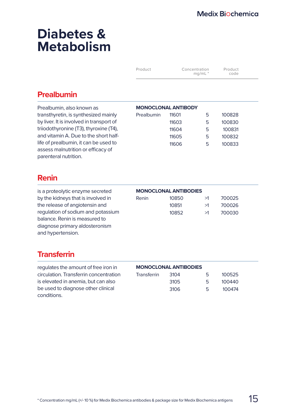# **Diabetes & Metabolism**

| Product | Concentration<br>$mq/mL$ <sup>*</sup> | Product<br>code |  |
|---------|---------------------------------------|-----------------|--|
|         |                                       |                 |  |

## **Prealbumin**

| Prealbumin, also known as                | <b>MONOCLONAL ANTIBODY</b> |       |   |        |
|------------------------------------------|----------------------------|-------|---|--------|
| transthyretin, is synthesized mainly     | Prealbumin                 | 11601 | 5 | 100828 |
| by liver. It is involved in transport of |                            | 11603 | 5 | 100830 |
| triiodothyronine (T3), thyroxine (T4),   |                            | 11604 | 5 | 100831 |
| and vitamin A. Due to the short half-    |                            | 11605 | 5 | 100832 |
| life of prealbumin, it can be used to    |                            | 11606 | 5 | 100833 |
| assess malnutrition or efficacy of       |                            |       |   |        |
| parenteral nutrition.                    |                            |       |   |        |

## **Renin**

is a proteolytic enzyme secreted by the kidneys that is involved in the release of angiotensin and regulation of sodium and potassium balance. Renin is measured to diagnose primary aldosteronism and hypertension.

|       | <b>MONOCLONAL ANTIBODIES</b> |    |        |
|-------|------------------------------|----|--------|
| Renin | 10850                        | >1 | 700025 |
|       | 10851                        | >1 | 700026 |
|       | 10852                        | >1 | 700030 |

## **Transferrin**

| regulates the amount of free iron in   | <b>MONOCLONAL ANTIBODIES</b> |      |    |        |
|----------------------------------------|------------------------------|------|----|--------|
| circulation. Transferrin concentration | Transferrin                  | 3104 | 5. | 100525 |
| is elevated in anemia, but can also    |                              | 3105 | 5  | 100440 |
| be used to diagnose other clinical     |                              | 3106 | 5  | 100474 |
| conditions.                            |                              |      |    |        |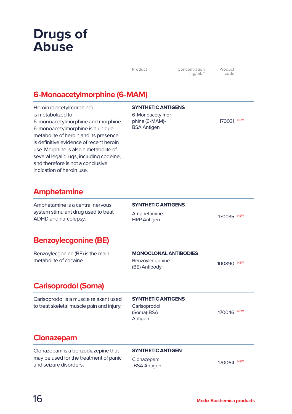| Product | Concentration<br>$mq/mL$ <sup>*</sup> | Product<br>code |
|---------|---------------------------------------|-----------------|
|         |                                       |                 |

## **6-Monoacetylmorphine (6-MAM)**

Heroin (diacetylmorphine) is metabolized to 6-monoacetylmorphine and morphine. 6-monoacetylmorphine is a unique metabolite of heroin and its presence is definitive evidence of recent heroin use. Morphine is also a metabolite of several legal drugs, including codeine, and therefore is not a conclusive indication of heroin use.

#### **SYNTHETIC ANTIGENS**

6-Monoacetylmorphine (6-MAM)- BSA Antigen

170031 NEW

## **Amphetamine**

Amphetamine is a central nervous system stimulant drug used to treat ADHD and narcolepsy. **SYNTHETIC ANTIGENS** Amphetamine-

Ampresember<br>HRP Antigen 170035 NEW

## **Benzoylecgonine (BE)**

Benzoylecgonine (BE) is the main metabolite of cocaine.

#### **MONOCLONAL ANTIBODIES**

Benzoylecgonine Benzoylecgonine<br>(BE) Antibody 100890 NEW

## **Carisoprodol (Soma)**

**SYNTHETIC ANTIGENS**

Carisoprodol (Soma)-BSA Antigen

170046 NEW

## **Clonazepam**

Clonazepam is a benzodiazepine that may be used for the treatment of panic and seizure disorders.

Carisoprodol is a muscle relaxant used to treat skeletal muscle pain and injury.

#### **SYNTHETIC ANTIGEN**

Clonazepam -BSA Antigen 170064 NEW 170064 NEW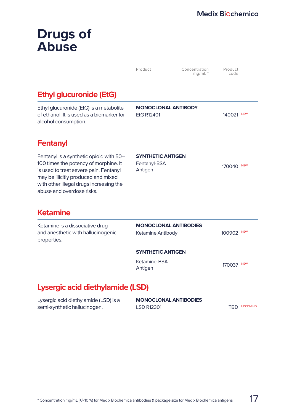|                                                                                                                                                                                                                                           | Product                                             | Concentration<br>$ma/mL *$ | Product<br>code |                 |
|-------------------------------------------------------------------------------------------------------------------------------------------------------------------------------------------------------------------------------------------|-----------------------------------------------------|----------------------------|-----------------|-----------------|
| <b>Ethyl glucuronide (EtG)</b>                                                                                                                                                                                                            |                                                     |                            |                 |                 |
| Ethyl glucuronide (EtG) is a metabolite<br>of ethanol. It is used as a biomarker for<br>alcohol consumption.                                                                                                                              | <b>MONOCLONAL ANTIBODY</b><br>EtG R12401            |                            | 140021 NEW      |                 |
| <b>Fentanyl</b>                                                                                                                                                                                                                           |                                                     |                            |                 |                 |
| Fentanyl is a synthetic opioid with 50-<br>100 times the potency of morphine. It<br>is used to treat severe pain. Fentanyl<br>may be illicitly produced and mixed<br>with other illegal drugs increasing the<br>abuse and overdose risks. | <b>SYNTHETIC ANTIGEN</b><br>Fentanyl-BSA<br>Antigen |                            | 170040          | <b>NEW</b>      |
| Ketamine                                                                                                                                                                                                                                  |                                                     |                            |                 |                 |
| Ketamine is a dissociative drug<br>and anesthetic with hallucinogenic<br>properties.                                                                                                                                                      | <b>MONOCLONAL ANTIBODIES</b><br>Ketamine Antibody   |                            | 100902          | <b>NEW</b>      |
|                                                                                                                                                                                                                                           | <b>SYNTHETIC ANTIGEN</b>                            |                            |                 |                 |
|                                                                                                                                                                                                                                           | Ketamine-BSA<br>Antigen                             |                            | 170037 NEW      |                 |
| Lysergic acid diethylamide (LSD)                                                                                                                                                                                                          |                                                     |                            |                 |                 |
| Lysergic acid diethylamide (LSD) is a<br>semi-synthetic hallucinogen.                                                                                                                                                                     | <b>MONOCLONAL ANTIBODIES</b><br><b>LSD R12301</b>   |                            | TBD             | <b>UPCOMING</b> |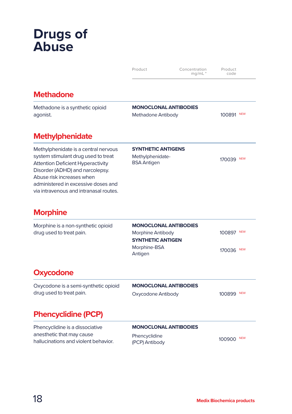|                                                                                                                                                                                                                                                                          | Product                                                                                                  | Concentration<br>$mq/mL$ <sup>*</sup> | Product<br>code          |
|--------------------------------------------------------------------------------------------------------------------------------------------------------------------------------------------------------------------------------------------------------------------------|----------------------------------------------------------------------------------------------------------|---------------------------------------|--------------------------|
| <b>Methadone</b>                                                                                                                                                                                                                                                         |                                                                                                          |                                       |                          |
| Methadone is a synthetic opioid<br>agonist.                                                                                                                                                                                                                              | <b>MONOCLONAL ANTIBODIES</b><br>Methadone Antibody                                                       |                                       | 100891 NEW               |
| <b>Methylphenidate</b>                                                                                                                                                                                                                                                   |                                                                                                          |                                       |                          |
| Methylphenidate is a central nervous<br>system stimulant drug used to treat<br><b>Attention Deficient Hyperactivity</b><br>Disorder (ADHD) and narcolepsy.<br>Abuse risk increases when<br>administered in excessive doses and<br>via intravenous and intranasal routes. | <b>SYNTHETIC ANTIGENS</b><br>Methylphenidate-<br><b>BSA Antigen</b>                                      |                                       | 170039 NEW               |
| <b>Morphine</b>                                                                                                                                                                                                                                                          |                                                                                                          |                                       |                          |
| Morphine is a non-synthetic opioid<br>drug used to treat pain.                                                                                                                                                                                                           | <b>MONOCLONAL ANTIBODIES</b><br>Morphine Antibody<br><b>SYNTHETIC ANTIGEN</b><br>Morphine-BSA<br>Antigen |                                       | 100897 NEW<br>170036 NEW |
| <b>Oxycodone</b>                                                                                                                                                                                                                                                         |                                                                                                          |                                       |                          |
| Oxycodone is a semi-synthetic opioid<br>drug used to treat pain.                                                                                                                                                                                                         | <b>MONOCLONAL ANTIBODIES</b><br>Oxycodone Antibody                                                       |                                       | 100899 NEW               |
| <b>Phencyclidine (PCP)</b>                                                                                                                                                                                                                                               |                                                                                                          |                                       |                          |
| Phencyclidine is a dissociative<br>anesthetic that may cause<br>hallucinations and violent behavior.                                                                                                                                                                     | <b>MONOCLONAL ANTIBODIES</b><br>Phencyclidine<br>(PCP) Antibody                                          |                                       | 100900 NEW               |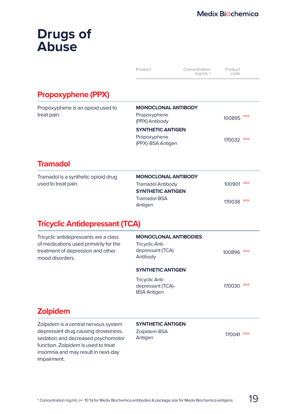|                                                  | Product                                                      | Concentration<br>$mq/mL$ <sup>*</sup> | Product<br>code      |
|--------------------------------------------------|--------------------------------------------------------------|---------------------------------------|----------------------|
| <b>Propoxyphene (PPX)</b>                        |                                                              |                                       |                      |
| Propoxyphene is an opioid used to<br>treat pain. | <b>MONOCLONAL ANTIBODY</b><br>Propoxyphene<br>(PPX) Antibody |                                       | <b>NEW</b><br>100895 |
|                                                  | <b>SYNTHETIC ANTIGEN</b>                                     |                                       |                      |
|                                                  | Propoxyphene<br>(PPX)-BSA Antigen                            |                                       | <b>NEW</b><br>170032 |
| <b>Tramadol</b>                                  |                                                              |                                       |                      |

| Tramadol is a synthetic opioid drug | М   |
|-------------------------------------|-----|
| used to treat pain.                 | Tra |

| <b>MONOCLONAL ANTIBODY</b> |            |  |
|----------------------------|------------|--|
| <b>Tramadol Antibody</b>   | 100901 NEW |  |
| <b>SYNTHETIC ANTIGEN</b>   |            |  |
| Tramadol-BSA<br>Antigen    | 170038 NEW |  |

## **Tricyclic Antidepressant (TCA)**

| <b>Zolpidem</b>                                                                                                                        |                                                                                        |                      |
|----------------------------------------------------------------------------------------------------------------------------------------|----------------------------------------------------------------------------------------|----------------------|
|                                                                                                                                        | <b>Tricyclic Anti-</b><br>depressant (TCA)-<br><b>BSA Antigen</b>                      | <b>NEW</b><br>170030 |
|                                                                                                                                        | <b>SYNTHETIC ANTIGEN</b>                                                               |                      |
| Tricyclic antidepressants are a class<br>of medications used primarily for the<br>treatment of depression and other<br>mood disorders. | <b>MONOCLONAL ANTIBODIES</b><br><b>Tricyclic Anti-</b><br>depressant (TCA)<br>Antibody | <b>NEW</b><br>100896 |
|                                                                                                                                        |                                                                                        |                      |

Zolpidem is a central nervous system depressant drug causing drowsiness, sedation and decreased psychomotor function. Zolpidem is used to treat insomnia and may result in next-day impairment.

#### **SYNTHETIC ANTIGEN**

Zolpidem-BSA Zoipidem-BSA<br>Antigen 170041 NEW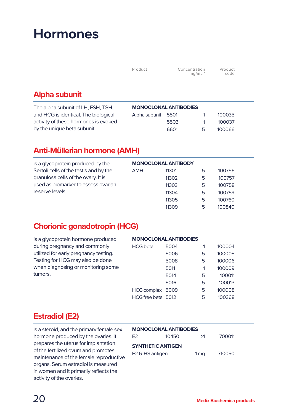| Product | Concentration<br>$mq/mL$ * | Product<br>code |  |
|---------|----------------------------|-----------------|--|
|---------|----------------------------|-----------------|--|

## **Alpha subunit**

| The alpha subunit of LH, FSH, TSH,   |                    | <b>MONOCLONAL ANTIBODIES</b> |   |        |
|--------------------------------------|--------------------|------------------------------|---|--------|
| and HCG is identical. The biological | Alpha subunit 5501 |                              |   | 100035 |
| activity of these hormones is evoked |                    | 5503                         |   | 100037 |
| by the unique beta subunit.          |                    | 6601                         | 5 | 100066 |
|                                      |                    |                              |   |        |

## **Anti-Müllerian hormone (AMH)**

| is a glycoprotein produced by the      | <b>MONOCLONAL ANTIBODY</b> |       |   |        |
|----------------------------------------|----------------------------|-------|---|--------|
| Sertoli cells of the testis and by the | <b>AMH</b>                 | 11301 | 5 | 100756 |
| granulosa cells of the ovary. It is    |                            | 11302 | 5 | 100757 |
| used as biomarker to assess ovarian    |                            | 11303 | 5 | 100758 |
| reserve levels.                        |                            | 11304 | 5 | 100759 |
|                                        |                            | 11305 | 5 | 100760 |
|                                        |                            | 11309 | 5 | 100840 |
|                                        |                            |       |   |        |

## **Chorionic gonadotropin (HCG)**

| is a glycoprotein hormone produced    | <b>MONOCLONAL ANTIBODIES</b> |      |   |        |
|---------------------------------------|------------------------------|------|---|--------|
| during pregnancy and commonly         | <b>HCG</b> beta              | 5004 |   | 100004 |
| utilized for early pregnancy testing. |                              | 5006 | 5 | 100005 |
| Testing for HCG may also be done      |                              | 5008 | 5 | 100006 |
| when diagnosing or monitoring some    |                              | 5011 | 1 | 100009 |
| tumors.                               |                              | 5014 | 5 | 100011 |
|                                       |                              | 5016 | 5 | 100013 |
|                                       | <b>HCG</b> complex           | 5009 | 5 | 100008 |
|                                       | HCG free beta 5012           |      | 5 | 100368 |

## **Estradiol (E2)**

is a steroid, and the primary female sex hormone produced by the ovaries. It prepares the uterus for implantation of the fertilized ovum and promotes maintenance of the female reproductive organs. Serum estradiol is measured in women and it primarily reflects the activity of the ovaries.

| <b>MONOCLONAL ANTIBODIES</b> |       |                 |        |  |  |  |
|------------------------------|-------|-----------------|--------|--|--|--|
| F2                           | 10450 | >1              | 700011 |  |  |  |
| <b>SYNTHETIC ANTIGEN</b>     |       |                 |        |  |  |  |
| E2 6-HS antigen              |       | 1 <sub>mq</sub> | 710050 |  |  |  |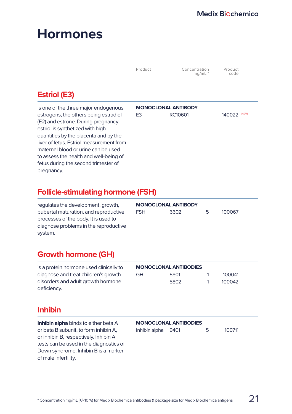|                                                                                                                                                                                                                                                                                                                                | Product        | Concentration<br>$mq/mL$ <sup>*</sup> | Product<br>code      |
|--------------------------------------------------------------------------------------------------------------------------------------------------------------------------------------------------------------------------------------------------------------------------------------------------------------------------------|----------------|---------------------------------------|----------------------|
| <b>Estriol (E3)</b>                                                                                                                                                                                                                                                                                                            |                |                                       |                      |
| is one of the three major endogenous<br>estrogens, the others being estradiol<br>(E2) and estrone. During pregnancy,<br>estriol is synthetized with high<br>quantities by the placenta and by the<br>liver of fetus. Estriol measurement from<br>maternal blood or urine can be used<br>to assess the health and well-being of | E <sub>3</sub> | <b>MONOCLONAL ANTIBODY</b><br>RC10601 | <b>NEW</b><br>140022 |

## **Follicle-stimulating hormone (FSH)**

| regulates the development, growth,    | <b>MONOCLONAL ANTIBODY</b> |      |   |        |
|---------------------------------------|----------------------------|------|---|--------|
| pubertal maturation, and reproductive | <b>FSH</b>                 | 6602 | Ь | 100067 |
| processes of the body. It is used to  |                            |      |   |        |
| diagnose problems in the reproductive |                            |      |   |        |
| system.                               |                            |      |   |        |

## **Growth hormone (GH)**

fetus during the second trimester of

| is a protein hormone used clinically to | <b>MONOCLONAL ANTIBODIES</b> |      |  |        |
|-----------------------------------------|------------------------------|------|--|--------|
| diagnose and treat children's growth    | GH                           | 5801 |  | 100041 |
| disorders and adult growth hormone      |                              | 5802 |  | 100042 |
| deficiency.                             |                              |      |  |        |

## **Inhibin**

pregnancy.

**Inhibin alpha** binds to either beta A or beta B subunit, to form inhibin A, or inhibin B, respectively. Inhibin A tests can be used in the diagnostics of Down syndrome. Inhibin B is a marker of male infertility.

#### **MONOCLONAL ANTIBODIES**

| Inhibin alpha 9401 |  |  | 100711 |
|--------------------|--|--|--------|
|--------------------|--|--|--------|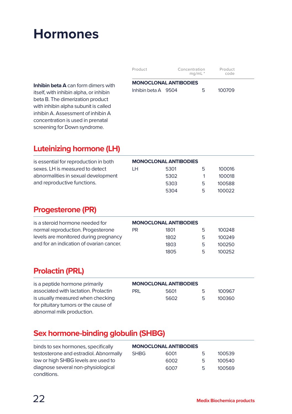| Product                      | Concentration<br>$ma/mL$ <sup>*</sup> | Product<br>code |
|------------------------------|---------------------------------------|-----------------|
| <b>MONOCLONAL ANTIBODIES</b> |                                       |                 |
| Inhibin beta A 9504          | 5                                     | 100709          |

**Inhibin beta A** can form dimers with itself, with inhibin alpha, or inhibin beta B. The dimerization product with inhibin alpha subunit is called inhibin A. Assessment of inhibin A concentration is used in prenatal screening for Down syndrome.

## **Luteinizing hormone (LH)**

| is essential for reproduction in both | <b>MONOCLONAL ANTIBODIES</b> |      |   |        |
|---------------------------------------|------------------------------|------|---|--------|
| sexes. LH is measured to detect       | TН                           | 5301 | 5 | 100016 |
| abnormalities in sexual development   |                              | 5302 |   | 100018 |
| and reproductive functions.           |                              | 5303 | 5 | 100588 |
|                                       |                              | 5304 | 5 | 100022 |

## **Progesterone (PR)**

| is a steroid hormone needed for          | <b>MONOCLONAL ANTIBODIES</b> |      |    |        |
|------------------------------------------|------------------------------|------|----|--------|
| normal reproduction. Progesterone        | PR.                          | 1801 | 5  | 100248 |
| levels are monitored during pregnancy    |                              | 1802 | 5. | 100249 |
| and for an indication of ovarian cancer. |                              | 1803 | 5  | 100250 |
|                                          |                              | 1805 | ь  | 100252 |

## **Prolactin (PRL)**

| is a peptide hormone primarily       | <b>MONOCLONAL ANTIBODIES</b> |      |    |        |
|--------------------------------------|------------------------------|------|----|--------|
| associated with lactation. Prolactin | PRI                          | 5601 | 5. | 100967 |
| is usually measured when checking    |                              | 5602 | 5. | 100360 |
| for pituitary tumors or the cause of |                              |      |    |        |
| abnormal milk production.            |                              |      |    |        |

## **Sex hormone-binding globulin (SHBG)**

| binds to sex hormones, specifically    | <b>MONOCLONAL ANTIBODIES</b> |      |   |        |
|----------------------------------------|------------------------------|------|---|--------|
| testosterone and estradiol. Abnormally | <b>SHBG</b>                  | 6001 | 5 | 100539 |
| low or high SHBG levels are used to    |                              | 6002 | 5 | 100540 |
| diagnose several non-physiological     |                              | 6007 | 5 | 100569 |
| conditions.                            |                              |      |   |        |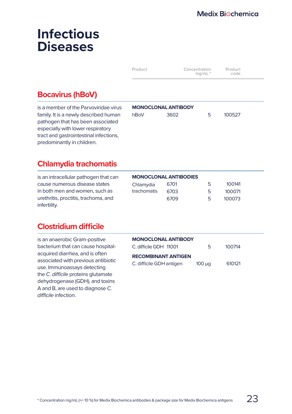| $mg/mL$ *<br>code | Product | Concentration | Product |
|-------------------|---------|---------------|---------|
|-------------------|---------|---------------|---------|

## **Bocavirus (hBoV)**

is a member of the Parvoviridae virus family. It is a newly described human pathogen that has been associated especially with lower respiratory tract and gastrointestinal infections, predominantly in children.

|      | <b>MONOCLONAL ANTIBODY</b> |    |        |  |
|------|----------------------------|----|--------|--|
| hBoV | 3602                       | 5. | 100527 |  |
|      |                            |    |        |  |
|      |                            |    |        |  |

## **Chlamydia trachomatis**

is an intracellular pathogen that can cause numerous disease states in both men and women, such as urethritis, proctitis, trachoma, and infertility.

| <b>MONOCLONAL ANTIBODIES</b> |      |    |        |  |
|------------------------------|------|----|--------|--|
| Chlamydia                    | 6701 | 5  | 100141 |  |
| trachomatis                  | 6703 | 5  | 100071 |  |
|                              | 6709 | г, | 100073 |  |

## **Clostridium difficile**

is an anaerobic Gram-positive bacterium that can cause hospitalacquired diarrhea, and is often associated with previous antibiotic use. Immunoassays detecting the *C. difficile* proteins glutamate dehydrogenase (GDH), and toxins A and B, are used to diagnose *C. difficile* infection.

| <b>MONOCLONAL ANTIBODY</b> |             |        |  |
|----------------------------|-------------|--------|--|
| C. difficile GDH 11001     | 5.          | 100714 |  |
| <b>RECOMBINANT ANTIGEN</b> |             |        |  |
| C. difficile GDH antigen   | $100 \mu q$ | 610121 |  |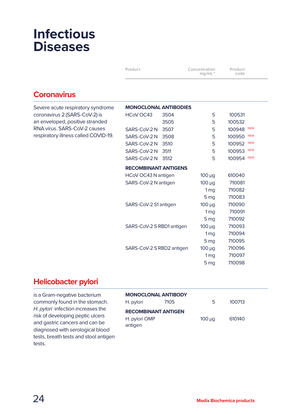| Product | Concentration<br>$mq/mL$ <sup>*</sup> | Product<br>code |  |
|---------|---------------------------------------|-----------------|--|
|---------|---------------------------------------|-----------------|--|

## **Coronavirus**

| Severe acute respiratory syndrome    | <b>MONOCLONAL ANTIBODIES</b> |      |                 |                      |
|--------------------------------------|------------------------------|------|-----------------|----------------------|
| coronavirus 2 (SARS-CoV-2) is        | HCoV OC43                    | 3504 | 5               | 100531               |
| an enveloped, positive stranded      |                              | 3505 | 5               | 100532               |
| RNA virus. SARS-CoV-2 causes         | SARS-CoV-2 N                 | 3507 | 5               | <b>NEW</b><br>100948 |
| respiratory illness called COVID-19. | SARS-CoV-2N                  | 3508 | 5               | <b>NEW</b><br>100950 |
|                                      | SARS-CoV-2N                  | 3510 | 5               | <b>NEW</b><br>100952 |
|                                      | SARS-CoV-2 N                 | 3511 | 5               | <b>NEW</b><br>100953 |
|                                      | SARS-CoV-2 N                 | 3512 | 5               | <b>NEW</b><br>100954 |
|                                      | <b>RECOMBINANT ANTIGENS</b>  |      |                 |                      |
|                                      | HCoV OC43 N antigen          |      | $100 \mu g$     | 610040               |
|                                      | SARS-CoV-2 N antigen         |      | $100 \mu g$     | 710081               |
|                                      |                              |      | 1 <sub>mq</sub> | 710082               |
|                                      |                              |      | 5 <sub>mq</sub> | 710083               |
|                                      | SARS-CoV-2 S1 antigen        |      | $100 \mu g$     | 710090               |
|                                      |                              |      | 1 <sub>mq</sub> | 710091               |
|                                      |                              |      | 5 <sub>mq</sub> | 710092               |
|                                      | SARS-CoV-2 S RBD1 antigen    |      | $100 \mu g$     | 710093               |
|                                      |                              |      | 1 <sub>mq</sub> | 710094               |
|                                      |                              |      | 5 <sub>mq</sub> | 710095               |
|                                      | SARS-CoV-2 S RBD2 antigen    |      | $100 \mu g$     | 710096               |
|                                      |                              |      | 1 <sub>mg</sub> | 710097               |

## **Helicobacter pylori**

is a Gram-negative bacterium commonly found in the stomach. *H. pylori* infection increases the risk of developing peptic ulcers and gastric cancers and can be diagnosed with serological blood tests, breath tests and stool antigen tests.

| <b>MONOCLONAL ANTIBODY</b>                             |      |             |        |  |  |
|--------------------------------------------------------|------|-------------|--------|--|--|
| H. pylori                                              | 7105 | 5           | 100713 |  |  |
| <b>RECOMBINANT ANTIGEN</b><br>H. pylori OMP<br>antigen |      | $100 \mu q$ | 610140 |  |  |

5 mg 710098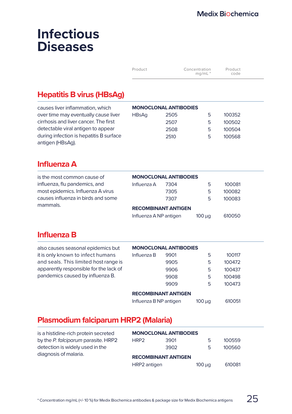| Product | Concentration<br>mq/mL | Product<br>code |  |
|---------|------------------------|-----------------|--|
|         |                        |                 |  |

## **Hepatitis B virus (HBsAg)**

| causes liver inflammation, which        | <b>MONOCLONAL ANTIBODIES</b> |      |    |        |
|-----------------------------------------|------------------------------|------|----|--------|
| over time may eventually cause liver    | <b>HBsAa</b>                 | 2505 | ь  | 100352 |
| cirrhosis and liver cancer. The first   |                              | 2507 | 5. | 100502 |
| detectable viral antigen to appear      |                              | 2508 | 5. | 100504 |
| during infection is hepatitis B surface |                              | 2510 | 5. | 100568 |
| antigen (HBsAg).                        |                              |      |    |        |

## **Influenza A**

antigen (HBsAg).

| is the most common cause of        | <b>MONOCLONAL ANTIBODIES</b> |      |             |        |
|------------------------------------|------------------------------|------|-------------|--------|
| influenza, flu pandemics, and      | Influenza A                  | 7304 | 5           | 100081 |
| most epidemics. Influenza A virus  |                              | 7305 | 5           | 100082 |
| causes influenza in birds and some |                              | 7307 | 5           | 100083 |
| mammals.                           | <b>RECOMBINANT ANTIGEN</b>   |      |             |        |
|                                    | Influenza A NP antigen       |      | $100 \mu q$ | 610050 |

## **Influenza B**

| also causes seasonal epidemics but     | <b>MONOCLONAL ANTIBODIES</b> |      |             |        |  |
|----------------------------------------|------------------------------|------|-------------|--------|--|
| it is only known to infect humans      | Influenza B                  | 9901 | 5           | 100117 |  |
| and seals. This limited host range is  |                              | 9905 | 5           | 100472 |  |
| apparently responsible for the lack of |                              | 9906 | 5           | 100437 |  |
| pandemics caused by influenza B.       |                              | 9908 | 5           | 100498 |  |
|                                        |                              | 9909 | 5           | 100473 |  |
|                                        | <b>RECOMBINANT ANTIGEN</b>   |      |             |        |  |
|                                        | Influenza B NP antigen       |      | $100 \mu q$ | 610051 |  |
|                                        |                              |      |             |        |  |

## **Plasmodium falciparum HRP2 (Malaria)**

| is a histidine-rich protein secreted | <b>MONOCLONAL ANTIBODIES</b> |      |             |        |  |
|--------------------------------------|------------------------------|------|-------------|--------|--|
| by the P. falciparum parasite. HRP2  | HRP <sub>2</sub>             | 3901 | 5           | 100559 |  |
| detection is widely used in the      |                              | 3902 | 5           | 100560 |  |
| diagnosis of malaria.                | <b>RECOMBINANT ANTIGEN</b>   |      |             |        |  |
|                                      | HRP2 antigen                 |      | $100 \mu q$ | 610081 |  |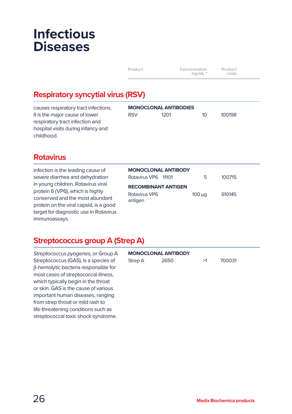| Product | Concentration<br>mq/mL | Product<br>code |  |
|---------|------------------------|-----------------|--|
|---------|------------------------|-----------------|--|

## **Respiratory syncytial virus (RSV)**

causes respiratory tract infections. It is the major cause of lower respiratory tract infection and hospital visits during infancy and childhood.

|            | <b>MONOCLONAL ANTIBODIES</b> |                 |        |
|------------|------------------------------|-----------------|--------|
| <b>RSV</b> | 1201                         | 10 <sup>1</sup> | 100198 |
|            |                              |                 |        |

## **Rotavirus**

infection is the leading cause of severe diarrhea and dehydration in young children. Rotavirus viral protein 6 (VP6), which is highly conserved and the most abundant protein on the viral capsid, is a good target for diagnostic use in Rotavirus immunoassays.

| <b>MONOCLONAL ANTIBODY</b> |             |        |
|----------------------------|-------------|--------|
| Rotavirus VP6 11101        | 5           | 100715 |
| <b>RECOMBINANT ANTIGEN</b> |             |        |
| Rotavirus VP6<br>antigen   | $100 \mu q$ | 610145 |

## **Streptococcus group A (Strep A)**

*Streptococcus pyogenes*, or Group A Streptococcus (GAS), is a species of β-hemolytic bacteria responsible for most cases of streptococcal illness, which typically begin in the throat or skin. GAS is the cause of various important human diseases, ranging from strep throat or mild rash to life-threatening conditions such as streptococcal toxic shock syndrome.

| <b>MONOCLONAL ANTIBODY</b> |      |    |        |  |
|----------------------------|------|----|--------|--|
| Strep A                    | 2650 | >1 | 700031 |  |
|                            |      |    |        |  |
|                            |      |    |        |  |
|                            |      |    |        |  |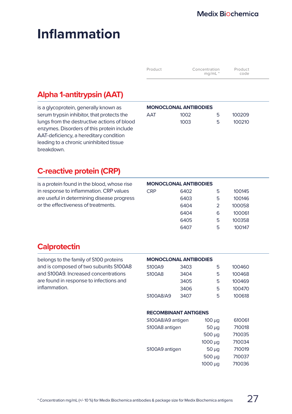# **Inflammation**

| Product | Concentration<br>$mq/mL$ <sup>*</sup> | Product<br>code |  |
|---------|---------------------------------------|-----------------|--|
|         |                                       |                 |  |

## **Alpha 1-antitrypsin (AAT)**

is a glycoprotein, generally known as serum trypsin inhibitor, that protects the lungs from the destructive actions of blood enzymes. Disorders of this protein include AAT-deficiency, a hereditary condition leading to a chronic uninhibited tissue breakdown.

|     | <b>MONOCLONAL ANTIBODIES</b> |   |        |
|-----|------------------------------|---|--------|
| AAT | 1002                         | ᄃ | 100209 |
|     | 1003                         | ᄃ | 100210 |

## **C-reactive protein (CRP)**

is a protein found in the blood, whose rise in response to inflammation. CRP values are useful in determining disease progress or the effectiveness of treatments.

|            | <b>MONOCLONAL ANTIBODIES</b> |                |        |
|------------|------------------------------|----------------|--------|
| <b>CRP</b> | 6402                         | 5              | 100145 |
|            | 6403                         | 5              | 100146 |
|            | 6404                         | $\overline{2}$ | 100058 |
|            | 6404                         | 6              | 100061 |
|            | 6405                         | 5              | 100358 |
|            | 6407                         | 5              | 100147 |

## **Calprotectin**

belongs to the family of S100 proteins and is composed of two subunits S100A8 and S100A9. Increased concentrations are found in response to infections and inflammation.

| <b>MONOCLONAL ANTIBODIES</b> |  |  |
|------------------------------|--|--|
|                              |  |  |

| S100A9    | 3403 | 5 | 100460 |
|-----------|------|---|--------|
| S100A8    | 3404 | 5 | 100468 |
|           | 3405 | 5 | 100469 |
|           | 3406 | 5 | 100470 |
| S100A8/A9 | 3407 | 5 | 100618 |

#### **RECOMBINANT ANTIGENS**

| S100A8/A9 antigen | $100 \mu q$  | 610061 |
|-------------------|--------------|--------|
| S100A8 antigen    | $50 \mu q$   | 710018 |
|                   | $500 \mu q$  | 710035 |
|                   | $1000 \mu g$ | 710034 |
| S100A9 antigen    | $50 \mu q$   | 710019 |
|                   | $500 \mu q$  | 710037 |
|                   | 1000 µg      | 710036 |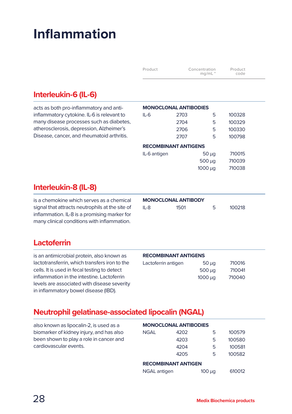# **Inflammation**

| Concentration<br>Product<br>Product<br>$mq/mL$ <sup>*</sup><br>code |  |
|---------------------------------------------------------------------|--|
|---------------------------------------------------------------------|--|

## **Interleukin-6 (IL-6)**

acts as both pro-inflammatory and antiinflammatory cytokine. IL-6 is relevant to many disease processes such as diabetes, atherosclerosis, depression, Alzheimer's Disease, cancer, and rheumatoid arthritis.

|                             | <b>MONOCLONAL ANTIBODIES</b> |              |        |  |  |
|-----------------------------|------------------------------|--------------|--------|--|--|
| $II - 6$                    | 2703                         | 5            | 100328 |  |  |
|                             | 2704                         | 5            | 100329 |  |  |
|                             | 2706                         | 5            | 100330 |  |  |
|                             | 2707                         | 5            | 100798 |  |  |
| <b>RECOMBINANT ANTIGENS</b> |                              |              |        |  |  |
| IL-6 antigen                |                              | $50 \mu q$   | 710015 |  |  |
|                             |                              | $500 \mu q$  | 710039 |  |  |
|                             |                              | $1000 \mu q$ | 710038 |  |  |
|                             |                              |              |        |  |  |

## **Interleukin-8 (IL-8)**

is a chemokine which serves as a chemical signal that attracts neutrophils at the site of inflammation. IL-8 is a promising marker for many clinical conditions with inflammation.

| <b>MONOCLONAL ANTIBODY</b> |      |   |        |
|----------------------------|------|---|--------|
| IL-8                       | 1501 | 5 | 100218 |

## **Lactoferrin**

is an antimicrobial protein, also known as lactotransferrin, which transfers iron to the cells. It is used in fecal testing to detect inflammation in the intestine. Lactoferrin levels are associated with disease severity in inflammatory bowel disease (IBD).

#### **RECOMBINANT ANTIGENS**

| Lactoferrin antigen | $50 \mu q$   | 710016 |
|---------------------|--------------|--------|
|                     | $500 \mu q$  | 710041 |
|                     | $1000 \mu q$ | 710040 |

## **Neutrophil gelatinase-associated lipocalin (NGAL)**

| also known as lipocalin-2, is used as a  | <b>MONOCLONAL ANTIBODIES</b> |                            |             |        |  |
|------------------------------------------|------------------------------|----------------------------|-------------|--------|--|
| biomarker of kidney injury, and has also | NGAL                         | 4202                       | 5           | 100579 |  |
| been shown to play a role in cancer and  |                              | 4203                       | 5           | 100580 |  |
| cardiovascular events.                   |                              | 4204                       | 5           | 100581 |  |
|                                          |                              | 4205                       | 5           | 100582 |  |
|                                          |                              | <b>RECOMBINANT ANTIGEN</b> |             |        |  |
|                                          | <b>NGAL</b> antigen          |                            | $100 \mu q$ | 610012 |  |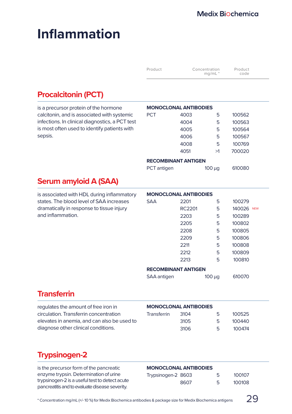# **Inflammation**

| Product | Concentration<br>$mq/mL$ <sup>*</sup> | Product<br>code |
|---------|---------------------------------------|-----------------|
|         |                                       |                 |

## **Procalcitonin (PCT)**

is a precursor protein of the hormone calcitonin, and is associated with systemic infections. In clinical diagnostics, a PCT test is most often used to identify patients with sepsis.

|     | <b>MONOCLONAL ANTIBODIES</b> |    |        |  |  |
|-----|------------------------------|----|--------|--|--|
| PCT | 4003                         | 5  | 100562 |  |  |
|     | 4004                         | 5  | 100563 |  |  |
|     | 4005                         | 5  | 100564 |  |  |
|     | 4006                         | 5  | 100567 |  |  |
|     | 4008                         | 5  | 100769 |  |  |
|     | 4051                         | >1 | 700020 |  |  |
|     |                              |    |        |  |  |

#### **RECOMBINANT ANTIGEN**

|  | PCT antigen |  |
|--|-------------|--|
|--|-------------|--|

| PCT antigen | $100 \mu g$ | 610080 |
|-------------|-------------|--------|
|             |             |        |

## **Serum amyloid A (SAA)**

is associated with HDL during inflammatory states. The blood level of SAA increases dramatically in response to tissue injury and inflammation. **MONOCLONAL ANTIBODIES** SAA 2201 5 100279 RC2201 5 140026 NEW 2203 5 100289 2205 5 100802 2208 5 100805 2209 5 100806 2211 5 100808 2212 5 100809 2213 5 100810 **RECOMBINANT ANTIGEN** SAA antigen 100 µg 610070

## **Transferrin**

| regulates the amount of free iron in        | <b>MONOCLONAL ANTIBODIES</b> |      |     |        |
|---------------------------------------------|------------------------------|------|-----|--------|
| circulation. Transferrin concentration      | Transferrin                  | 3104 | -5  | 100525 |
| elevates in anemia, and can also be used to |                              | 3105 | -5  | 100440 |
| diagnose other clinical conditions.         |                              | 3106 | - Б | 100474 |

## **Trypsinogen-2**

is the precursor form of the pancreatic enzyme trypsin. Determination of urine trypsinogen-2 is a useful test to detect acute pancreatitis and to evaluate disease severity.

| Trypsinogen-2 8603 |      | 5 | 100107 |
|--------------------|------|---|--------|
|                    | 8607 | 5 | 100108 |

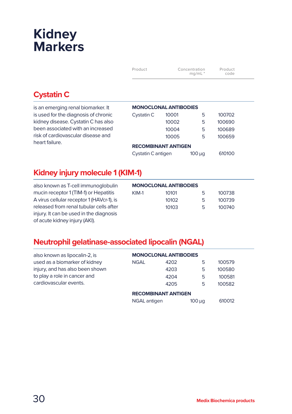# **Kidney Markers**

| Product | Concentration<br>$mq/mL$ <sup>*</sup> | Product<br>code |
|---------|---------------------------------------|-----------------|
|         |                                       |                 |

## **Cystatin C**

is an emerging renal biomarker. It is used for the diagnosis of chronic kidney disease. Cystatin C has also been associated with an increased risk of cardiovascular disease and heart failure.

| <b>MONOCLONAL ANTIBODIES</b>                |       |   |        |  |  |
|---------------------------------------------|-------|---|--------|--|--|
| Cystatin C                                  | 10001 | 5 | 100702 |  |  |
|                                             | 10002 | 5 | 100690 |  |  |
|                                             | 10004 | 5 | 100689 |  |  |
|                                             | 10005 | 5 | 100659 |  |  |
| <b>RECOMBINANT ANTIGEN</b>                  |       |   |        |  |  |
| Cystatin C antigen<br>610100<br>$100 \mu q$ |       |   |        |  |  |

## **Kidney injury molecule 1 (KIM-1)**

also known as T-cell immunoglobulin mucin receptor 1 (TIM-1) or Hepatitis A virus cellular receptor 1 (HAVcr-1), is released from renal tubular cells after injury. It can be used in the diagnosis of acute kidney injury (AKI).

|       | <b>MONOCLONAL ANTIBODIES</b> |    |        |
|-------|------------------------------|----|--------|
| KIM-1 | 10101                        | 5  | 100738 |
|       | 10102                        | г, | 100739 |
|       | 10103                        | г, | 100740 |
|       |                              |    |        |

## **Neutrophil gelatinase-associated lipocalin (NGAL)**

| also known as lipocalin-2, is   | <b>MONOCLONAL ANTIBODIES</b> |                            |             |        |
|---------------------------------|------------------------------|----------------------------|-------------|--------|
| used as a biomarker of kidney   | <b>NGAL</b>                  | 4202                       | 5           | 100579 |
| injury, and has also been shown |                              | 4203                       | 5           | 100580 |
| to play a role in cancer and    |                              | 4204                       | 5           | 100581 |
| cardiovascular events.          |                              | 4205                       | 5           | 100582 |
|                                 |                              | <b>RECOMBINANT ANTIGEN</b> |             |        |
|                                 | <b>NGAL</b> antigen          |                            | $100 \mu q$ | 610012 |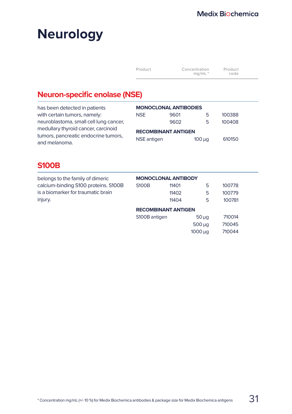# **Neurology**

| Product | Concentration<br>$mq/mL$ <sup>*</sup> | Product<br>code |  |
|---------|---------------------------------------|-----------------|--|
|         |                                       |                 |  |

1000 µg 710044

## **Neuron-specific enolase (NSE)**

| has been detected in patients                         | <b>MONOCLONAL ANTIBODIES</b> |      |             |        |  |
|-------------------------------------------------------|------------------------------|------|-------------|--------|--|
| with certain tumors, namely:                          | <b>NSE</b>                   | 9601 | 5           | 100388 |  |
| neuroblastoma, small cell lung cancer,                |                              | 9602 | 5           | 100408 |  |
| medullary thyroid cancer, carcinoid                   | <b>RECOMBINANT ANTIGEN</b>   |      |             |        |  |
| tumors, pancreatic endocrine tumors,<br>and melanoma. | NSE antigen                  |      | $100 \mu q$ | 610150 |  |

## **S100B**

| belongs to the family of dimeric     | <b>MONOCLONAL ANTIBODY</b> |                            |             |        |
|--------------------------------------|----------------------------|----------------------------|-------------|--------|
| calcium-binding S100 proteins. S100B | <b>S100B</b>               | 11401                      | 5           | 100778 |
| is a biomarker for traumatic brain   |                            | 11402                      | 5           | 100779 |
| injury.                              |                            | 11404                      | 5           | 100781 |
|                                      |                            | <b>RECOMBINANT ANTIGEN</b> |             |        |
|                                      | S100B antigen              |                            | $50 \mu q$  | 710014 |
|                                      |                            |                            | $500 \mu q$ | 710045 |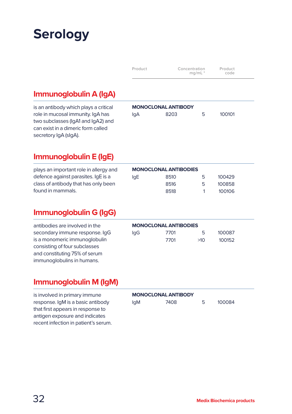# **Serology**

| Product | Concentration<br>$mq/mL$ <sup>*</sup> | Product<br>code |  |
|---------|---------------------------------------|-----------------|--|
|         |                                       |                 |  |

## **Immunoglobulin A (IgA)**

is an antibody which plays a critical role in mucosal immunity. IgA has two subclasses (IgA1 and IgA2) and can exist in a dimeric form called secretory IgA (sIgA).

|     | <b>MONOCLONAL ANTIBODY</b> |   |        |
|-----|----------------------------|---|--------|
| lqA | 8203                       | 5 | 100101 |
|     |                            |   |        |

## **Immunoglobulin E (IgE)**

plays an important role in allergy and defence against parasites. IgE is a class of antibody that has only been found in mammals.

|     | <b>MONOCLONAL ANTIBODIES</b> |   |        |
|-----|------------------------------|---|--------|
| lgE | 8510                         | 5 | 100429 |
|     | 8516                         | 5 | 100858 |
|     | 8518                         |   | 100106 |

## **Immunoglobulin G (IgG)**

antibodies are involved in the secondary immune response. IgG is a monomeric immunoglobulin consisting of four subclasses and constituting 75% of serum immunoglobulins in humans.

|     | <b>MONOCLONAL ANTIBODIES</b> |     |        |
|-----|------------------------------|-----|--------|
| lgG | 7701                         | 5.  | 100087 |
|     | 7701                         | >10 | 100152 |

## **Immunoglobulin M (IgM)**

is involved in primary immune response. IgM is a basic antibody that first appears in response to antigen exposure and indicates recent infection in patient's serum.

|            | <b>MONOCLONAL ANTIBODY</b> |   |        |  |
|------------|----------------------------|---|--------|--|
| <b>IgM</b> | 7408                       | 5 | 100084 |  |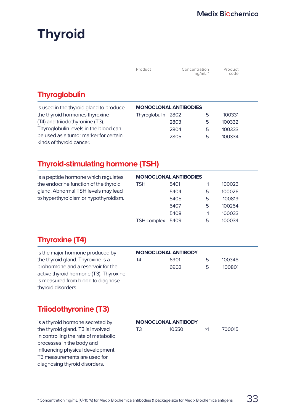# **Thyroid**

| Product | Concentration<br>mq/mL | Product<br>code |  |
|---------|------------------------|-----------------|--|
|---------|------------------------|-----------------|--|

## **Thyroglobulin**

| is used in the thyroid gland to produce |                    | <b>MONOCLONAL ANTIBODIES</b> |   |        |
|-----------------------------------------|--------------------|------------------------------|---|--------|
| the thyroid hormones thyroxine          | Thyroglobulin 2802 |                              | ь | 100331 |
| (T4) and trijodothyronine (T3).         |                    | 2803                         | 5 | 100332 |
| Thyroglobulin levels in the blood can   |                    | 2804                         | 5 | 100333 |
| be used as a tumor marker for certain   |                    | 2805                         | 5 | 100334 |
| kinds of thyroid cancer.                |                    |                              |   |        |

## **Thyroid-stimulating hormone (TSH)**

| is a peptide hormone which regulates  | <b>MONOCLONAL ANTIBODIES</b> |      |   |        |
|---------------------------------------|------------------------------|------|---|--------|
| the endocrine function of the thyroid | <b>TSH</b>                   | 5401 |   | 100023 |
| gland. Abnormal TSH levels may lead   |                              | 5404 | 5 | 100026 |
| to hyperthyroidism or hypothyroidism. |                              | 5405 | 5 | 100819 |
|                                       |                              | 5407 | 5 | 100254 |
|                                       |                              | 5408 |   | 100033 |
|                                       | <b>TSH complex</b>           | 5409 | 5 | 100034 |

## **Thyroxine (T4)**

is the major hormone produced by the thyroid gland. Thyroxine is a prohormone and a reservoir for the active thyroid hormone (T3). Thyroxine is measured from blood to diagnose thyroid disorders.

#### **MONOCLONAL ANTIBODY**

| T4 | 6901 | 5 | 100348 |
|----|------|---|--------|
|    | 6902 | 5 | 100801 |

## **Triiodothyronine (T3)**

is a thyroid hormone secreted by the thyroid gland. T3 is involved in controlling the rate of metabolic processes in the body and influencing physical development. T3 measurements are used for diagnosing thyroid disorders.

#### **MONOCLONAL ANTIBODY**

| T <sub>3</sub> | 10550 | >1 |
|----------------|-------|----|
|----------------|-------|----|

700015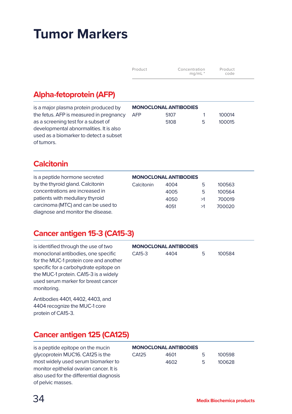# **Tumor Markers**

| Product | Concentration        | Product |
|---------|----------------------|---------|
|         | $mq/mL$ <sup>*</sup> | code    |

## **Alpha-fetoprotein (AFP)**

| is a major plasma protein produced by   | <b>MONOCLONAL ANTIBODIES</b> |      |   |        |
|-----------------------------------------|------------------------------|------|---|--------|
| the fetus. AFP is measured in pregnancy | <b>AFP</b>                   | 5107 |   | 100014 |
| as a screening test for a subset of     |                              | 5108 | 5 | 100015 |
| developmental abnormalities. It is also |                              |      |   |        |
| used as a biomarker to detect a subset  |                              |      |   |        |
| of tumors.                              |                              |      |   |        |

## **Calcitonin**

| is a peptide hormone secreted      | <b>MONOCLONAL ANTIBODIES</b> |      |    |        |  |
|------------------------------------|------------------------------|------|----|--------|--|
| by the thyroid gland. Calcitonin   | Calcitonin                   | 4004 | 5  | 100563 |  |
| concentrations are increased in    |                              | 4005 | 5  | 100564 |  |
| patients with medullary thyroid    |                              | 4050 | >1 | 700019 |  |
| carcinoma (MTC) and can be used to |                              | 4051 | >1 | 700020 |  |
| diagnose and monitor the disease.  |                              |      |    |        |  |

## **Cancer antigen 15-3 (CA15-3)**

| is identified through the use of two   |
|----------------------------------------|
| monoclonal antibodies, one specific    |
| for the MUC-1 protein core and another |
| specific for a carbohydrate epitope on |
| the MUC-1 protein. CA15-3 is a widely  |
| used serum marker for breast cancer    |
| monitoring.                            |

Antibodies 4401, 4402, 4403, and 4404 recognize the MUC-1 core protein of CA15-3.

# **MONOCLONAL ANTIBODIES**

| CA15-3 | 4404 | 5 | 100584 |
|--------|------|---|--------|
|        |      |   |        |

## **Cancer antigen 125 (CA125)**

is a peptide epitope on the mucin glycoprotein MUC16. CA125 is the most widely used serum biomarker to monitor epithelial ovarian cancer. It is also used for the differential diagnosis of pelvic masses.

| <b>MONOCLONAL ANTIBODIES</b> |      |    |        |  |
|------------------------------|------|----|--------|--|
| C <sub>4125</sub>            | 4601 | 5  | 100598 |  |
|                              | 4602 | 5. | 100628 |  |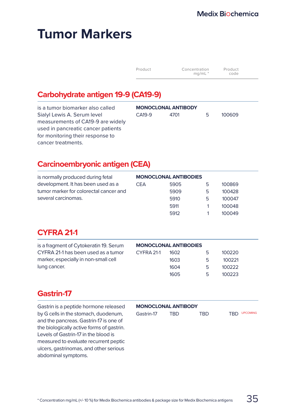# **Tumor Markers**

| Concentration<br>Product<br>$mq/mL$ <sup>*</sup> | Product<br>code |
|--------------------------------------------------|-----------------|
|--------------------------------------------------|-----------------|

## **Carbohydrate antigen 19-9 (CA19-9)**

| is a tumor biomarker also called   | <b>MONOCLONAL ANTIBODY</b> |      |    |        |
|------------------------------------|----------------------------|------|----|--------|
| Sialyl Lewis A. Serum level        | CA <sub>19-9</sub>         | 4701 | 5. | 100609 |
| measurements of CA19-9 are widely  |                            |      |    |        |
| used in pancreatic cancer patients |                            |      |    |        |
| for monitoring their response to   |                            |      |    |        |
| cancer treatments.                 |                            |      |    |        |

## **Carcinoembryonic antigen (CEA)**

| is normally produced during fetal      | <b>MONOCLONAL ANTIBODIES</b> |      |   |        |
|----------------------------------------|------------------------------|------|---|--------|
| development. It has been used as a     | <b>CEA</b>                   | 5905 | ь | 100869 |
| tumor marker for colorectal cancer and |                              | 5909 | 5 | 100428 |
| several carcinomas.                    |                              | 5910 | 5 | 100047 |
|                                        |                              | 5911 |   | 100048 |
|                                        |                              | 5912 |   | 100049 |

## **CYFRA 21-1**

| is a fragment of Cytokeratin 19. Serum | <b>MONOCLONAL ANTIBODIES</b> |      |   |        |
|----------------------------------------|------------------------------|------|---|--------|
| CYFRA 21-1 has been used as a tumor    | CYFRA 21-1                   | 1602 | 5 | 100220 |
| marker, especially in non-small cell   |                              | 1603 | 5 | 100221 |
| lung cancer.                           |                              | 1604 | 5 | 100222 |
|                                        |                              | 1605 | 5 | 100223 |
|                                        |                              |      |   |        |

## **Gastrin-17**

Gastrin is a peptide hormone released by G cells in the stomach, duodenum, and the pancreas. Gastrin-17 is one of the biologically active forms of gastrin. Levels of Gastrin-17 in the blood is measured to evaluate recurrent peptic ulcers, gastrinomas, and other serious abdominal symptoms.

#### **MONOCLONAL ANTIBODY**

| Gastrin-17 | TRD. | TRD | TRD UPCOMING |
|------------|------|-----|--------------|
|            |      |     |              |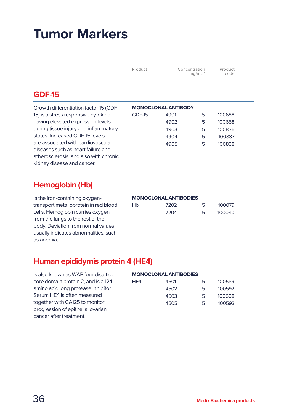# **Tumor Markers**

| Product | Concentration<br>mq/mL | Product<br>code |
|---------|------------------------|-----------------|
|---------|------------------------|-----------------|

## **GDF-15**

Growth differentiation factor 15 (GDF-15) is a stress responsive cytokine having elevated expression levels during tissue injury and inflammatory states. Increased GDF-15 levels are associated with cardiovascular diseases such as heart failure and atherosclerosis, and also with chronic kidney disease and cancer.

|        | <b>MONOCLONAL ANTIBODY</b> |   |        |
|--------|----------------------------|---|--------|
| GDF-15 | 4901                       | 5 | 100688 |
|        | 4902                       | 5 | 100658 |
|        | 4903                       | 5 | 100836 |
|        | 4904                       | 5 | 100837 |
|        | 4905                       | 5 | 100838 |
|        |                            |   |        |

## **Hemoglobin (Hb)**

is the iron-containing oxygentransport metalloprotein in red blood cells. Hemoglobin carries oxygen from the lungs to the rest of the body. Deviation from normal values usually indicates abnormalities, such as anemia.

| <b>MONOCLONAL ANTIBODIES</b> |      |    |        |  |
|------------------------------|------|----|--------|--|
| Hb                           | 7202 | 5  | 100079 |  |
|                              | 7204 | ц. | 100080 |  |

## **Human epididymis protein 4 (HE4)**

| is also known as WAP four-disulfide | <b>MONOCLONAL ANTIBODIES</b> |      |   |        |  |
|-------------------------------------|------------------------------|------|---|--------|--|
| core domain protein 2, and is a 124 | HE4                          | 4501 | 5 | 100589 |  |
| amino acid long protease inhibitor. |                              | 4502 | 5 | 100592 |  |
| Serum HE4 is often measured         |                              | 4503 | 5 | 100608 |  |
| together with CA125 to monitor      |                              | 4505 | 5 | 100593 |  |
| progression of epithelial ovarian   |                              |      |   |        |  |
| cancer after treatment.             |                              |      |   |        |  |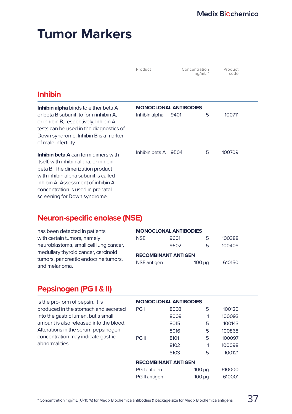|                                                                                                                                                                                           | Product                      |      | Concentration<br>$ma/mL$ <sup>*</sup> | Product<br>code |  |
|-------------------------------------------------------------------------------------------------------------------------------------------------------------------------------------------|------------------------------|------|---------------------------------------|-----------------|--|
| <b>Inhibin</b>                                                                                                                                                                            |                              |      |                                       |                 |  |
| <b>Inhibin alpha</b> binds to either beta A                                                                                                                                               | <b>MONOCLONAL ANTIBODIES</b> |      |                                       |                 |  |
| or beta B subunit, to form inhibin A,<br>or inhibin B, respectively. Inhibin A<br>tests can be used in the diagnostics of<br>Down syndrome. Inhibin B is a marker<br>of male infertility. | Inhibin alpha                | 9401 | 5                                     | 100711          |  |
| <b>Inhibin beta A</b> can form dimers with<br>itself, with inhibin alpha, or inhibin                                                                                                      | Inhibin beta A               | 9504 | 5                                     | 100709          |  |

concentration is used in prenatal screening for Down syndrome.

beta B. The dimerization product with inhibin alpha subunit is called inhibin A. Assessment of inhibin A

#### **Neuron-specific enolase (NSE)**

| has been detected in patients                         | <b>MONOCLONAL ANTIBODIES</b> |      |             |        |  |
|-------------------------------------------------------|------------------------------|------|-------------|--------|--|
| with certain tumors, namely:                          | <b>NSE</b>                   | 9601 | ь           | 100388 |  |
| neuroblastoma, small cell lung cancer,                |                              | 9602 | 5           | 100408 |  |
| medullary thyroid cancer, carcinoid                   | <b>RECOMBINANT ANTIGEN</b>   |      |             |        |  |
| tumors, pancreatic endocrine tumors,<br>and melanoma. | NSE antigen                  |      | $100 \mu q$ | 610150 |  |

#### **Pepsinogen (PG I & II)**

| is the pro-form of pepsin. It is        | <b>MONOCLONAL ANTIBODIES</b> |      |             |        |  |
|-----------------------------------------|------------------------------|------|-------------|--------|--|
| produced in the stomach and secreted    | PG <sub>1</sub>              | 8003 | 5           | 100120 |  |
| into the gastric lumen, but a small     |                              | 8009 |             | 100093 |  |
| amount is also released into the blood. |                              | 8015 | 5           | 100143 |  |
| Alterations in the serum pepsinogen     |                              | 8016 | 5           | 100868 |  |
| concentration may indicate gastric      | PG II                        | 8101 | 5           | 100097 |  |
| abnormalities.                          |                              | 8102 |             | 100098 |  |
|                                         |                              | 8103 | 5           | 100121 |  |
|                                         | <b>RECOMBINANT ANTIGEN</b>   |      |             |        |  |
|                                         | PG I antigen                 |      | $100 \mu q$ | 610000 |  |
|                                         | PG II antigen                |      | $100 \mu q$ | 610001 |  |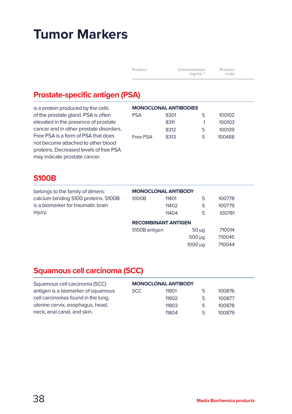| Product | Concentration<br>$mq/mL$ <sup>*</sup> | Product<br>code |
|---------|---------------------------------------|-----------------|
|         |                                       |                 |

#### **Prostate-specific antigen (PSA)**

is a protein produced by the cells of the prostate gland. PSA is often elevated in the presence of prostate cancer and in other prostate disorders. Free PSA is a form of PSA that does not become attached to other blood proteins. Decreased levels of free PSA may indicate prostate cancer.

| <b>MONOCLONAL ANTIBODIES</b> |      |   |        |  |  |
|------------------------------|------|---|--------|--|--|
| PSA                          | 8301 | 5 | 100102 |  |  |
|                              | 8311 | 1 | 100103 |  |  |
|                              | 8312 | 5 | 100139 |  |  |
| Free PSA                     | 8313 | 5 | 100488 |  |  |

#### **S100B**

| belongs to the family of dimeric     | <b>MONOCLONAL ANTIBODY</b> |       |                   |        |  |  |
|--------------------------------------|----------------------------|-------|-------------------|--------|--|--|
| calcium-binding S100 proteins. S100B | <b>S100B</b>               | 11401 | 5                 | 100778 |  |  |
| is a biomarker for traumatic brain   |                            | 11402 | 5                 | 100779 |  |  |
| injury.                              |                            | 11404 | 5                 | 100781 |  |  |
|                                      | <b>RECOMBINANT ANTIGEN</b> |       |                   |        |  |  |
|                                      | S100B antigen              |       | $50 \mu q$        | 710014 |  |  |
|                                      |                            |       | $500 \mu q$       | 710045 |  |  |
|                                      |                            |       | 1000 <sub>u</sub> | 710044 |  |  |

#### **Squamous cell carcinoma (SCC)**

| Squamous cell carcinoma (SCC)      | <b>MONOCLONAL ANTIBODY</b> |       |   |        |
|------------------------------------|----------------------------|-------|---|--------|
| antigen is a biomarker of squamous | SCC.                       | 11801 | 5 | 100876 |
| cell carcinomas found in the lung, |                            | 11802 | 5 | 100877 |
| uterine cervix, esophagus, head,   |                            | 11803 | 5 | 100878 |
| neck, anal canal, and skin.        |                            | 11804 | 5 | 100879 |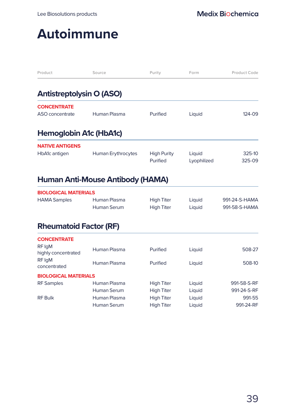### **Autoimmune**

| Product                                 | Source                                  | Purity                                 | Form                  | Product Code                   |
|-----------------------------------------|-----------------------------------------|----------------------------------------|-----------------------|--------------------------------|
| <b>Antistreptolysin O (ASO)</b>         |                                         |                                        |                       |                                |
| <b>CONCENTRATE</b><br>ASO concentrate   | Human Plasma                            | Purified                               | Liquid                | 124-09                         |
|                                         |                                         |                                        |                       |                                |
| Hemoglobin A1c (HbA1c)                  |                                         |                                        |                       |                                |
| <b>NATIVE ANTIGENS</b><br>HbA1c antigen | Human Erythrocytes                      | <b>High Purity</b><br>Purified         | Liquid<br>Lyophilized | 325-10<br>325-09               |
|                                         | <b>Human Anti-Mouse Antibody (HAMA)</b> |                                        |                       |                                |
| <b>BIOLOGICAL MATERIALS</b>             |                                         |                                        |                       |                                |
| <b>HAMA Samples</b>                     | Human Plasma<br>Human Serum             | <b>High Titer</b><br><b>High Titer</b> | Liquid<br>Liquid      | 991-24-S-HAMA<br>991-58-S-HAMA |
| <b>Rheumatoid Factor (RF)</b>           |                                         |                                        |                       |                                |
| <b>CONCENTRATE</b>                      |                                         |                                        |                       |                                |
| RF IgM<br>highly concentrated           | Human Plasma                            | Purified                               | Liquid                | 508-27                         |
| RF IgM<br>concentrated                  | Human Plasma                            | Purified                               | Liquid                | 508-10                         |
| <b>BIOLOGICAL MATERIALS</b>             |                                         |                                        |                       |                                |
| <b>RF</b> Samples                       | Human Plasma                            | <b>High Titer</b>                      | Liquid                | 991-58-S-RF                    |
|                                         | Human Serum                             | <b>High Titer</b>                      | Liquid                | 991-24-S-RF                    |
| <b>RF Bulk</b>                          | Human Plasma<br>Human Serum             | <b>High Titer</b><br><b>High Titer</b> | Liquid<br>Liquid      | 991-55<br>991-24-RF            |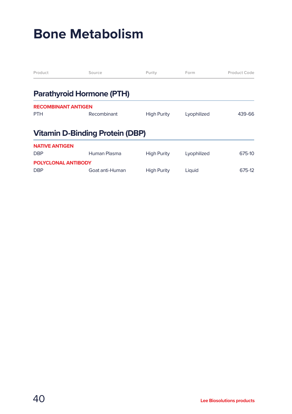### **Bone Metabolism**

| Product                    | Source                                 | Purity             | Form        | Product Code |
|----------------------------|----------------------------------------|--------------------|-------------|--------------|
|                            | <b>Parathyroid Hormone (PTH)</b>       |                    |             |              |
| <b>RECOMBINANT ANTIGEN</b> |                                        |                    |             |              |
| <b>PTH</b>                 | Recombinant                            | <b>High Purity</b> | Lyophilized | 439-66       |
|                            | <b>Vitamin D-Binding Protein (DBP)</b> |                    |             |              |
| <b>NATIVE ANTIGEN</b>      |                                        |                    |             |              |
| <b>DBP</b>                 | Human Plasma                           | <b>High Purity</b> | Lyophilized | 675-10       |
| POLYCLONAL ANTIBODY        |                                        |                    |             |              |
| <b>DBP</b>                 | Goat anti-Human                        | <b>High Purity</b> | Liquid      | 675-12       |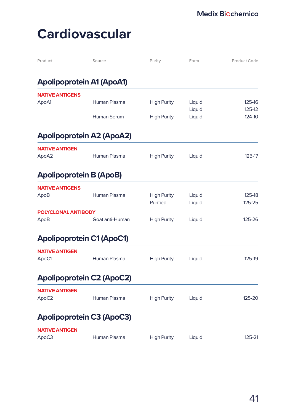| Product                        | Source                           | Purity                         | Form             | Product Code     |
|--------------------------------|----------------------------------|--------------------------------|------------------|------------------|
|                                | <b>Apolipoprotein A1 (ApoA1)</b> |                                |                  |                  |
| <b>NATIVE ANTIGENS</b>         |                                  |                                |                  |                  |
| ApoA1                          | Human Plasma                     | <b>High Purity</b>             | Liquid           | 125-16           |
|                                |                                  |                                | Liquid           | 125-12           |
|                                | Human Serum                      | <b>High Purity</b>             | Liquid           | 124-10           |
|                                | <b>Apolipoprotein A2 (ApoA2)</b> |                                |                  |                  |
| <b>NATIVE ANTIGEN</b>          |                                  |                                |                  |                  |
| ApoA2                          | Human Plasma                     | <b>High Purity</b>             | Liquid           | 125-17           |
| <b>Apolipoprotein B (ApoB)</b> |                                  |                                |                  |                  |
| <b>NATIVE ANTIGENS</b>         |                                  |                                |                  |                  |
| ApoB                           | Human Plasma                     | <b>High Purity</b><br>Purified | Liquid<br>Liquid | 125-18<br>125-25 |
| <b>POLYCLONAL ANTIBODY</b>     |                                  |                                |                  |                  |
| ApoB                           | Goat anti-Human                  | <b>High Purity</b>             | Liquid           | 125-26           |
|                                | <b>Apolipoprotein C1 (ApoC1)</b> |                                |                  |                  |
| <b>NATIVE ANTIGEN</b>          |                                  |                                |                  |                  |
| ApoC1                          | Human Plasma                     | <b>High Purity</b>             | Liquid           | 125-19           |
|                                | <b>Apolipoprotein C2 (ApoC2)</b> |                                |                  |                  |
| <b>NATIVE ANTIGEN</b>          |                                  |                                |                  |                  |
| ApoC2                          | Human Plasma                     | <b>High Purity</b>             | Liquid           | 125-20           |
|                                | <b>Apolipoprotein C3 (ApoC3)</b> |                                |                  |                  |
| <b>NATIVE ANTIGEN</b>          |                                  |                                |                  |                  |
| ApoC3                          | Human Plasma                     | <b>High Purity</b>             | Liquid           | 125-21           |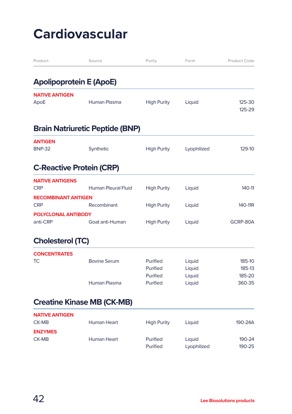| Product                                  | Source                                 | Purity               | Form             | Product Code        |
|------------------------------------------|----------------------------------------|----------------------|------------------|---------------------|
| <b>Apolipoprotein E (ApoE)</b>           |                                        |                      |                  |                     |
| <b>NATIVE ANTIGEN</b><br>ApoE            | Human Plasma                           | <b>High Purity</b>   | Liquid           | 125-30<br>125-29    |
|                                          | <b>Brain Natriuretic Peptide (BNP)</b> |                      |                  |                     |
| <b>ANTIGEN</b><br><b>BNP-32</b>          | Synthetic                              | <b>High Purity</b>   | Lyophilized      | 129-10              |
| <b>C-Reactive Protein (CRP)</b>          |                                        |                      |                  |                     |
| <b>NATIVE ANTIGENS</b><br><b>CRP</b>     | <b>Human Pleural Fluid</b>             | <b>High Purity</b>   | Liquid           | 140-11              |
| <b>RECOMBINANT ANTIGEN</b><br><b>CRP</b> | Recombinant                            | <b>High Purity</b>   | Liquid           | 140-11 <sub>R</sub> |
| <b>POLYCLONAL ANTIBODY</b><br>anti-CRP   | Goat anti-Human                        | <b>High Purity</b>   | Liquid           | GCRP-80A            |
| <b>Cholesterol (TC)</b>                  |                                        |                      |                  |                     |
| <b>CONCENTRATES</b><br>ТC                | <b>Bovine Serum</b>                    | Purified<br>Purified | Liquid<br>Liquid | 185-10<br>185-13    |
|                                          | Human Plasma                           | Purified<br>Purified | Liquid<br>Liquid | 185-20<br>360-35    |
|                                          | <b>Creatine Kinase MB (CK-MB)</b>      |                      |                  |                     |
| <b>NATIVE ANTIGEN</b><br>CK-MB           | Human Heart                            | <b>High Purity</b>   | Liquid           | 190-24A             |
| <b>ENZYMES</b><br>CK-MB                  | Human Heart                            | Purified             | Liquid           | 190-24              |

Purified Lyophilized 190-25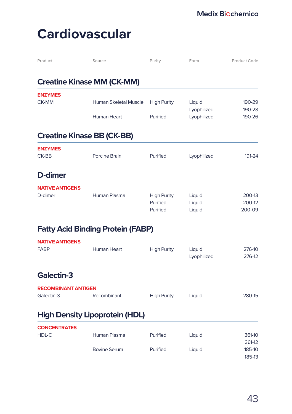| Product                                  | Source                                   | Purity                                     | Form                       | Product Code               |
|------------------------------------------|------------------------------------------|--------------------------------------------|----------------------------|----------------------------|
|                                          | <b>Creatine Kinase MM (CK-MM)</b>        |                                            |                            |                            |
| <b>ENZYMES</b><br><b>CK-MM</b>           | <b>Human Skeletal Muscle</b>             | <b>High Purity</b>                         | Liquid<br>Lyophilized      | 190-29<br>190-28           |
|                                          | <b>Human Heart</b>                       | Purified                                   | Lyophilized                | 190-26                     |
| <b>Creatine Kinase BB (CK-BB)</b>        |                                          |                                            |                            |                            |
| <b>ENZYMES</b><br>CK-BB                  | <b>Porcine Brain</b>                     | Purified                                   | Lyophilized                | 191-24                     |
| D-dimer                                  |                                          |                                            |                            |                            |
| <b>NATIVE ANTIGENS</b><br>D-dimer        | Human Plasma                             | <b>High Purity</b><br>Purified<br>Purified | Liquid<br>Liquid<br>Liquid | 200-13<br>200-12<br>200-09 |
|                                          | <b>Fatty Acid Binding Protein (FABP)</b> |                                            |                            |                            |
| <b>NATIVE ANTIGENS</b><br><b>FABP</b>    | <b>Human Heart</b>                       | <b>High Purity</b>                         | Liquid<br>Lyophilized      | 276-10<br>276-12           |
| Galectin-3                               |                                          |                                            |                            |                            |
| <b>RECOMBINANT ANTIGEN</b><br>Galectin-3 | Recombinant                              | <b>High Purity</b>                         | Liquid                     | 280-15                     |
|                                          | <b>High Density Lipoprotein (HDL)</b>    |                                            |                            |                            |
| <b>CONCENTRATES</b><br>HDL-C             | Human Plasma                             | Purified                                   | Liquid                     | 361-10<br>361-12           |
|                                          | <b>Bovine Serum</b>                      | Purified                                   | Liquid                     | 185-10<br>185-13           |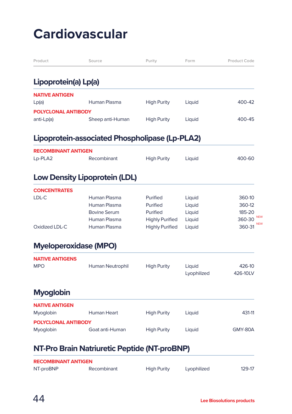| Product                      | Source                                         | Purity                 | Form                  | Product Code         |
|------------------------------|------------------------------------------------|------------------------|-----------------------|----------------------|
| Lipoprotein(a) Lp(a)         |                                                |                        |                       |                      |
| <b>NATIVE ANTIGEN</b>        |                                                |                        |                       |                      |
| Lp(a)                        | Human Plasma                                   | <b>High Purity</b>     | Liquid                | 400-42               |
| <b>POLYCLONAL ANTIBODY</b>   |                                                |                        |                       |                      |
| anti-Lp(a)                   | Sheep anti-Human                               | <b>High Purity</b>     | Liquid                | 400-45               |
|                              | Lipoprotein-associated Phospholipase (Lp-PLA2) |                        |                       |                      |
| <b>RECOMBINANT ANTIGEN</b>   |                                                |                        |                       |                      |
| Lp-PLA2                      | Recombinant                                    | <b>High Purity</b>     | Liquid                | 400-60               |
|                              | <b>Low Density Lipoprotein (LDL)</b>           |                        |                       |                      |
| <b>CONCENTRATES</b>          |                                                |                        |                       |                      |
| LDL-C                        | Human Plasma                                   | Purified               | Liquid                | 360-10               |
|                              | Human Plasma                                   | Purified               | Liquid                | 360-12               |
|                              | <b>Bovine Serum</b>                            | Purified               | Liquid                | 185-20<br><b>NFW</b> |
|                              | Human Plasma                                   | <b>Highly Purified</b> | Liquid                | 360-30<br><b>NEW</b> |
| Oxidized LDL-C               | Human Plasma                                   | <b>Highly Purified</b> | Liquid                | 360-31               |
| <b>Myeloperoxidase (MPO)</b> |                                                |                        |                       |                      |
| <b>NATIVE ANTIGENS</b>       |                                                |                        |                       |                      |
| <b>MPO</b>                   | Human Neutrophil                               | <b>High Purity</b>     | Liquid<br>Lyophilized | 426-10<br>426-10LV   |
|                              |                                                |                        |                       |                      |
| <b>Myoglobin</b>             |                                                |                        |                       |                      |
| <b>NATIVE ANTIGEN</b>        |                                                |                        |                       |                      |
| Myoglobin                    | <b>Human Heart</b>                             | <b>High Purity</b>     | Liquid                | 431-11               |
| <b>POLYCLONAL ANTIBODY</b>   |                                                |                        |                       |                      |
| Myoglobin                    | Goat anti-Human                                | <b>High Purity</b>     | Liquid                | GMY-80A              |
|                              |                                                |                        |                       |                      |
|                              | NT-Pro Brain Natriuretic Peptide (NT-proBNP)   |                        |                       |                      |

| <b>RECOMBINANT ANTIGEN</b> |             |                    |             |        |  |
|----------------------------|-------------|--------------------|-------------|--------|--|
| NT-proBNP                  | Recombinant | <b>High Purity</b> | Lyophilized | 129-17 |  |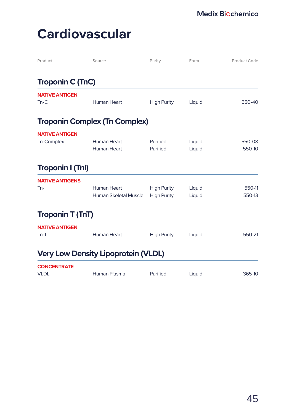| Product                 | Source                                     | Purity             | Form   | Product Code |
|-------------------------|--------------------------------------------|--------------------|--------|--------------|
| <b>Troponin C (TnC)</b> |                                            |                    |        |              |
| <b>NATIVE ANTIGEN</b>   |                                            |                    |        |              |
| $Tn-C$                  | <b>Human Heart</b>                         | <b>High Purity</b> | Liquid | 550-40       |
|                         | <b>Troponin Complex (Tn Complex)</b>       |                    |        |              |
| <b>NATIVE ANTIGEN</b>   |                                            |                    |        |              |
| Tn-Complex              | Human Heart                                | Purified           | Liquid | 550-08       |
|                         | Human Heart                                | Purified           | Liquid | 550-10       |
| <b>Troponin I (TnI)</b> |                                            |                    |        |              |
| <b>NATIVE ANTIGENS</b>  |                                            |                    |        |              |
| $Tn-I$                  | Human Heart                                | <b>High Purity</b> | Liquid | 550-11       |
|                         | Human Skeletal Muscle                      | <b>High Purity</b> | Liquid | 550-13       |
| <b>Troponin T (TnT)</b> |                                            |                    |        |              |
| <b>NATIVE ANTIGEN</b>   |                                            |                    |        |              |
| $Tn-T$                  | <b>Human Heart</b>                         | <b>High Purity</b> | Liquid | 550-21       |
|                         | <b>Very Low Density Lipoprotein (VLDL)</b> |                    |        |              |
| <b>CONCENTRATE</b>      |                                            |                    |        |              |
| <b>VLDL</b>             | Human Plasma                               | Purified           | Liquid | 365-10       |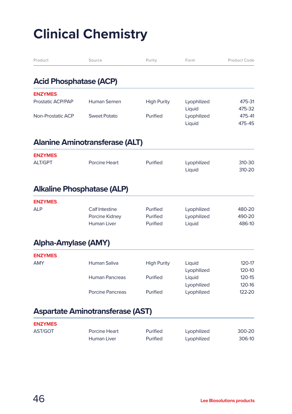| Product                       | Source                                  | Purity             | Form        | Product Code |
|-------------------------------|-----------------------------------------|--------------------|-------------|--------------|
| <b>Acid Phosphatase (ACP)</b> |                                         |                    |             |              |
| <b>ENZYMES</b>                |                                         |                    |             |              |
| Prostatic ACP/PAP             | Human Semen                             | <b>High Purity</b> | Lyophilized | 475-31       |
|                               |                                         |                    | Liquid      | 475-32       |
| Non-Prostatic ACP             | <b>Sweet Potato</b>                     | Purified           | Lyophilized | 475-41       |
|                               |                                         |                    | Liquid      | 475-45       |
|                               | <b>Alanine Aminotransferase (ALT)</b>   |                    |             |              |
| <b>ENZYMES</b>                |                                         |                    |             |              |
| <b>ALT/GPT</b>                | Porcine Heart                           | Purified           | Lyophilized | 310-30       |
|                               |                                         |                    | Liquid      | 310-20       |
|                               | <b>Alkaline Phosphatase (ALP)</b>       |                    |             |              |
| <b>ENZYMES</b>                |                                         |                    |             |              |
| <b>ALP</b>                    | Calf Intestine                          | Purified           | Lyophilized | 480-20       |
|                               | Porcine Kidney                          | Purified           | Lyophilized | 490-20       |
|                               | <b>Human Liver</b>                      | Purified           | Liquid      | 486-10       |
| <b>Alpha-Amylase (AMY)</b>    |                                         |                    |             |              |
| <b>ENZYMES</b>                |                                         |                    |             |              |
| <b>AMY</b>                    | <b>Human Saliva</b>                     | <b>High Purity</b> | Liquid      | 120-17       |
|                               |                                         |                    | Lyophilized | 120-10       |
|                               | <b>Human Pancreas</b>                   | Purified           | Liquid      | 120-15       |
|                               |                                         |                    | Lyophilized | 120-16       |
|                               | <b>Porcine Pancreas</b>                 | Purified           | Lyophilized | 122-20       |
|                               | <b>Aspartate Aminotransferase (AST)</b> |                    |             |              |
| <b>ENZYMES</b>                |                                         |                    |             |              |
| AST/GOT                       | Porcine Heart                           | Purified           | Lyophilized | 300-20       |
|                               | <b>Human Liver</b>                      | Purified           | Lyophilized | 306-10       |
|                               |                                         |                    |             |              |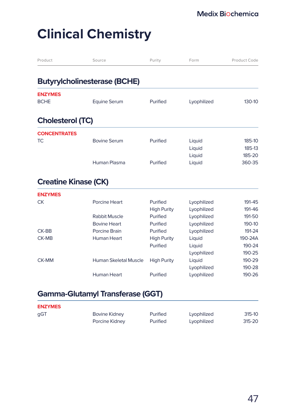| Product                       | Source                                                       | Purity                                                 | Form                                                     | Product Code                         |
|-------------------------------|--------------------------------------------------------------|--------------------------------------------------------|----------------------------------------------------------|--------------------------------------|
|                               | <b>Butyrylcholinesterase (BCHE)</b>                          |                                                        |                                                          |                                      |
|                               |                                                              |                                                        |                                                          |                                      |
| <b>ENZYMES</b><br><b>BCHE</b> | <b>Equine Serum</b>                                          | Purified                                               | Lyophilized                                              | 130-10                               |
| <b>Cholesterol (TC)</b>       |                                                              |                                                        |                                                          |                                      |
| <b>CONCENTRATES</b>           |                                                              |                                                        |                                                          |                                      |
| <b>TC</b>                     | <b>Bovine Serum</b>                                          | Purified                                               | Liquid<br>Liquid<br>Liquid                               | 185-10<br>185-13<br>185-20           |
|                               | Human Plasma                                                 | Purified                                               | Liquid                                                   | 360-35                               |
| <b>Creatine Kinase (CK)</b>   |                                                              |                                                        |                                                          |                                      |
| <b>ENZYMES</b>                |                                                              |                                                        |                                                          |                                      |
| <b>CK</b>                     | Porcine Heart<br><b>Rabbit Muscle</b><br><b>Bovine Heart</b> | Purified<br><b>High Purity</b><br>Purified<br>Purified | Lyophilized<br>Lyophilized<br>Lyophilized<br>Lyophilized | 191-45<br>191-46<br>191-50<br>190-10 |
| CK-BB                         | Porcine Brain                                                | Purified                                               | Lyophilized                                              | 191-24                               |
| CK-MB                         | <b>Human Heart</b>                                           | <b>High Purity</b>                                     | Liquid                                                   | 190-24A                              |
|                               |                                                              | Purified                                               | Liquid                                                   | 190-24                               |
|                               |                                                              |                                                        | Lyophilized                                              | 190-25                               |
| CK-MM                         | Human Skeletal Muscle                                        | <b>High Purity</b>                                     | Liquid<br>Lyophilized                                    | 190-29<br>190-28                     |
|                               | Human Heart                                                  | Purified                                               | Lyophilized                                              | 190-26                               |
|                               | <b>Gamma-Glutamyl Transferase (GGT)</b>                      |                                                        |                                                          |                                      |

| <b>ENZYMES</b> |                      |          |             |        |
|----------------|----------------------|----------|-------------|--------|
| gGT            | <b>Bovine Kidney</b> | Purified | Lyophilized | 315-10 |
|                | Porcine Kidney       | Purified | Lyophilized | 315-20 |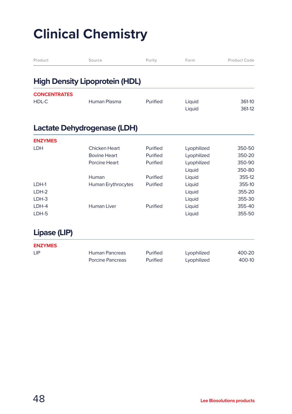| Product             | Source                                | Purity   | Form             | Product Code     |
|---------------------|---------------------------------------|----------|------------------|------------------|
|                     | <b>High Density Lipoprotein (HDL)</b> |          |                  |                  |
| <b>CONCENTRATES</b> |                                       |          |                  |                  |
| HDL-C               | Human Plasma                          | Purified | Liquid<br>Liquid | 361-10<br>361-12 |
|                     | Lactate Dehydrogenase (LDH)           |          |                  |                  |
| <b>ENZYMES</b>      |                                       |          |                  |                  |
| LDH                 | Chicken Heart                         | Purified | Lyophilized      | 350-50           |
|                     | <b>Bovine Heart</b>                   | Purified | Lyophilized      | 350-20           |
|                     | Porcine Heart                         | Purified | Lyophilized      | 350-90           |
|                     |                                       |          | Liquid           | 350-80           |
|                     | Human                                 | Purified | Liquid           | 355-12           |
| LDH-1               | Human Erythrocytes                    | Purified | Liquid           | 355-10           |
| LDH-2               |                                       |          | Liquid           | 355-20           |
| LDH-3               |                                       |          | Liquid           | 355-30           |
| LDH-4               | <b>Human Liver</b>                    | Purified | Liquid           | 355-40           |
| LDH-5               |                                       |          | Liquid           | 355-50           |

#### **Lipase (LIP)**

| <b>ENZYMES</b> |                       |          |             |        |
|----------------|-----------------------|----------|-------------|--------|
| <b>LIP</b>     | <b>Human Pancreas</b> | Purified | Lyophilized | 400-20 |
|                | Porcine Pancreas      | Purified | Lyophilized | 400-10 |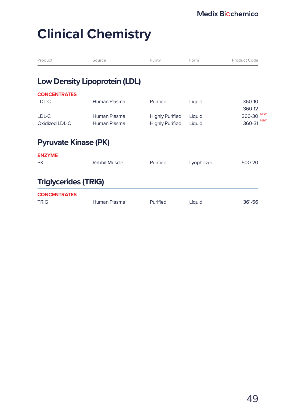| Product                            | Source                               | Purity                 | Form        | Product Code         |
|------------------------------------|--------------------------------------|------------------------|-------------|----------------------|
|                                    | <b>Low Density Lipoprotein (LDL)</b> |                        |             |                      |
| <b>CONCENTRATES</b>                |                                      |                        |             |                      |
| LDL-C                              | Human Plasma                         | Purified               | Liquid      | 360-10<br>360-12     |
| LDL-C                              | Human Plasma                         | <b>Highly Purified</b> | Liquid      | <b>NEW</b><br>360-30 |
| Oxidized LDL-C                     | Human Plasma                         | <b>Highly Purified</b> | Liquid      | <b>NEW</b><br>360-31 |
| <b>Pyruvate Kinase (PK)</b>        |                                      |                        |             |                      |
| <b>ENZYME</b>                      |                                      |                        |             |                      |
| <b>PK</b>                          | <b>Rabbit Muscle</b>                 | Purified               | Lyophilized | 500-20               |
| <b>Triglycerides (TRIG)</b>        |                                      |                        |             |                      |
| <b>CONCENTRATES</b><br><b>TRIG</b> | Human Plasma                         | Purified               | Liquid      | 361-56               |
|                                    |                                      |                        |             |                      |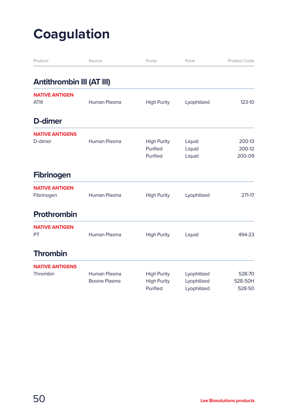# **Coagulation**

| Product                               | Source                               | Purity                                               | Form                                      | Product Code                |
|---------------------------------------|--------------------------------------|------------------------------------------------------|-------------------------------------------|-----------------------------|
| <b>Antithrombin III (AT III)</b>      |                                      |                                                      |                                           |                             |
| <b>NATIVE ANTIGEN</b><br><b>ATIII</b> | Human Plasma                         | <b>High Purity</b>                                   | Lyophilized                               | 123-10                      |
| D-dimer                               |                                      |                                                      |                                           |                             |
| <b>NATIVE ANTIGENS</b><br>D-dimer     | Human Plasma                         | <b>High Purity</b><br>Purified<br>Purified           | Liquid<br>Liquid<br>Liquid                | 200-13<br>200-12<br>200-09  |
| <b>Fibrinogen</b>                     |                                      |                                                      |                                           |                             |
| <b>NATIVE ANTIGEN</b><br>Fibrinogen   | Human Plasma                         | <b>High Purity</b>                                   | Lyophilized                               | 271-17                      |
| <b>Prothrombin</b>                    |                                      |                                                      |                                           |                             |
| <b>NATIVE ANTIGEN</b><br>PT           | Human Plasma                         | <b>High Purity</b>                                   | Liquid                                    | 494-23                      |
| <b>Thrombin</b>                       |                                      |                                                      |                                           |                             |
| <b>NATIVE ANTIGENS</b><br>Thrombin    | Human Plasma<br><b>Bovine Plasma</b> | <b>High Purity</b><br><b>High Purity</b><br>Purified | Lyophilized<br>Lyophilized<br>Lyophilized | 528-70<br>528-50H<br>528-50 |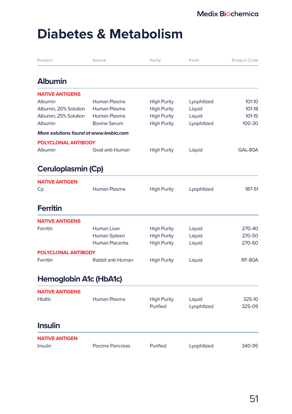### **Diabetes & Metabolism**

| Product                                | Source                  | Purity             | Form        | Product Code  |
|----------------------------------------|-------------------------|--------------------|-------------|---------------|
| <b>Albumin</b>                         |                         |                    |             |               |
| <b>NATIVE ANTIGENS</b>                 |                         |                    |             |               |
| <b>Albumin</b>                         | Human Plasma            | <b>High Purity</b> | Lyophilized | 101-10        |
| Albumin, 20% Solution                  | Human Plasma            | <b>High Purity</b> | Liquid      | 101-18        |
| Albumin, 25% Solution                  | Human Plasma            | <b>High Purity</b> | Liquid      | 101-15        |
| Albumin                                | <b>Bovine Serum</b>     | <b>High Purity</b> | Lyophilized | 100-30        |
| More solutions found at www.leebio.com |                         |                    |             |               |
| <b>POLYCLONAL ANTIBODY</b>             |                         |                    |             |               |
| Albumin                                | Goat anti-Human         | <b>High Purity</b> | Liquid      | GAL-80A       |
| Ceruloplasmin (Cp)                     |                         |                    |             |               |
| <b>NATIVE ANTIGEN</b>                  |                         |                    |             |               |
| Cp                                     | Human Plasma            | <b>High Purity</b> | Lyophilized | 187-51        |
| <b>Ferritin</b>                        |                         |                    |             |               |
| <b>NATIVE ANTIGENS</b>                 |                         |                    |             |               |
| Ferritin                               | <b>Human Liver</b>      | <b>High Purity</b> | Liquid      | 270-40        |
|                                        | Human Spleen            | <b>High Purity</b> | Liquid      | 270-50        |
|                                        | Human Placenta          | <b>High Purity</b> | Liquid      | 270-60        |
| POLYCLONAL ANTIBODY                    |                         |                    |             |               |
| Ferritin                               | Rabbit anti-Human       | <b>High Purity</b> | Liquid      | <b>RF-80A</b> |
| Hemoglobin A1c (HbA1c)                 |                         |                    |             |               |
| <b>NATIVE ANTIGENS</b>                 |                         |                    |             |               |
| HbA1c                                  | Human Plasma            | <b>High Purity</b> | Liquid      | 325-10        |
|                                        |                         | Purified           | Lyophilized | 325-09        |
| <b>Insulin</b>                         |                         |                    |             |               |
| <b>NATIVE ANTIGEN</b>                  |                         |                    |             |               |
| Insulin                                | <b>Porcine Pancreas</b> | Purified           | Lyophilized | 340-95        |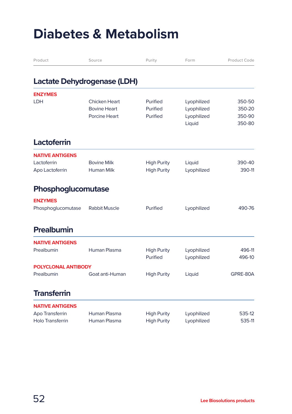### **Diabetes & Metabolism**

| Product                 | Source                      | Purity             | Form        | Product Code |
|-------------------------|-----------------------------|--------------------|-------------|--------------|
|                         | Lactate Dehydrogenase (LDH) |                    |             |              |
| <b>ENZYMES</b>          |                             |                    |             |              |
| LDH                     | Chicken Heart               | Purified           | Lyophilized | 350-50       |
|                         | <b>Bovine Heart</b>         | Purified           | Lyophilized | 350-20       |
|                         | Porcine Heart               | Purified           | Lyophilized | 350-90       |
|                         |                             |                    | Liquid      | 350-80       |
| Lactoferrin             |                             |                    |             |              |
| <b>NATIVE ANTIGENS</b>  |                             |                    |             |              |
| Lactoferrin             | <b>Bovine Milk</b>          | <b>High Purity</b> | Liquid      | 390-40       |
| Apo Lactoferrin         | <b>Human Milk</b>           | <b>High Purity</b> | Lyophilized | 390-11       |
| Phosphoglucomutase      |                             |                    |             |              |
| <b>ENZYMES</b>          |                             |                    |             |              |
| Phosphoglucomutase      | Rabbit Muscle               | Purified           | Lyophilized | 490-76       |
| Prealbumin              |                             |                    |             |              |
| <b>NATIVE ANTIGENS</b>  |                             |                    |             |              |
| Prealbumin              | Human Plasma                | <b>High Purity</b> | Lyophilized | 496-11       |
|                         |                             | Purified           | Lyophilized | 496-10       |
| POLYCLONAL ANTIBODY     |                             |                    |             |              |
| Prealbumin              | Goat anti-Human             | <b>High Purity</b> | Liquid      | GPRE-80A     |
|                         |                             |                    |             |              |
| <b>Transferrin</b>      |                             |                    |             |              |
| <b>NATIVE ANTIGENS</b>  |                             |                    |             |              |
| Apo Transferrin         | Human Plasma                | <b>High Purity</b> | Lyophilized | 535-12       |
| <b>Holo Transferrin</b> | Human Plasma                | <b>High Purity</b> | Lyophilized | 535-11       |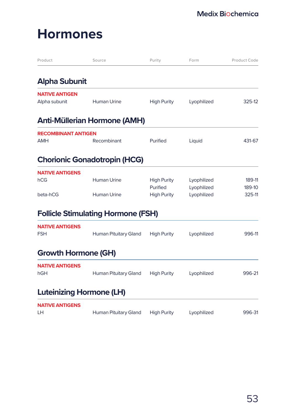### **Hormones**

| Product                                | Source                                    | Purity                         | Form                       | Product Code     |
|----------------------------------------|-------------------------------------------|--------------------------------|----------------------------|------------------|
| <b>Alpha Subunit</b>                   |                                           |                                |                            |                  |
| <b>NATIVE ANTIGEN</b><br>Alpha subunit | <b>Human Urine</b>                        | <b>High Purity</b>             | Lyophilized                | 325-12           |
|                                        | <b>Anti-Müllerian Hormone (AMH)</b>       |                                |                            |                  |
| <b>RECOMBINANT ANTIGEN</b>             |                                           |                                |                            |                  |
| <b>AMH</b>                             | Recombinant                               | Purified                       | Liquid                     | 431-67           |
|                                        | <b>Chorionic Gonadotropin (HCG)</b>       |                                |                            |                  |
| <b>NATIVE ANTIGENS</b>                 |                                           |                                |                            |                  |
| hCG                                    | <b>Human Urine</b>                        | <b>High Purity</b><br>Purified | Lyophilized<br>Lyophilized | 189-11<br>189-10 |
| beta-hCG                               | <b>Human Urine</b>                        | <b>High Purity</b>             | Lyophilized                | 325-11           |
|                                        | <b>Follicle Stimulating Hormone (FSH)</b> |                                |                            |                  |
| <b>NATIVE ANTIGENS</b><br><b>FSH</b>   | Human Pituitary Gland                     | <b>High Purity</b>             | Lyophilized                | 996-11           |
| <b>Growth Hormone (GH)</b>             |                                           |                                |                            |                  |
| <b>NATIVE ANTIGENS</b><br>hGH          | Human Pituitary Gland                     | <b>High Purity</b>             | Lyophilized                | 996-21           |
| <b>Luteinizing Hormone (LH)</b>        |                                           |                                |                            |                  |
| <b>NATIVE ANTIGENS</b>                 |                                           |                                |                            |                  |
| LН                                     | Human Pituitary Gland                     | <b>High Purity</b>             | Lyophilized                | 996-31           |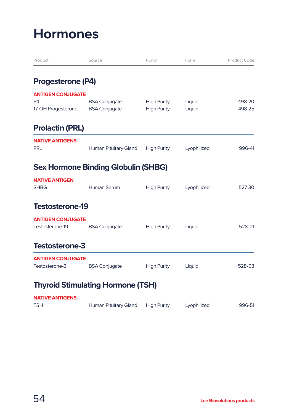### **Hormones**

| Product                              | Source                                     | Purity             | Form        | Product Code |
|--------------------------------------|--------------------------------------------|--------------------|-------------|--------------|
| <b>Progesterone (P4)</b>             |                                            |                    |             |              |
| <b>ANTIGEN CONJUGATE</b>             |                                            |                    |             |              |
| P <sub>4</sub>                       | <b>BSA Conjugate</b>                       | <b>High Purity</b> | Liquid      | 498-20       |
| 17-OH Progesterone                   | <b>BSA Conjugate</b>                       | <b>High Purity</b> | Liquid      | 498-25       |
| <b>Prolactin (PRL)</b>               |                                            |                    |             |              |
| <b>NATIVE ANTIGENS</b><br><b>PRL</b> | Human Pituitary Gland                      | <b>High Purity</b> | Lyophilized | 996-41       |
|                                      | <b>Sex Hormone Binding Globulin (SHBG)</b> |                    |             |              |
| <b>NATIVE ANTIGEN</b><br><b>SHBG</b> | Human Serum                                | <b>High Purity</b> | Lyophilized | 527-30       |
| <b>Testosterone-19</b>               |                                            |                    |             |              |
| <b>ANTIGEN CONJUGATE</b>             |                                            |                    |             |              |
| Testosterone-19                      | <b>BSA Conjugate</b>                       | <b>High Purity</b> | Liquid      | 528-01       |
| <b>Testosterone-3</b>                |                                            |                    |             |              |
| <b>ANTIGEN CONJUGATE</b>             |                                            |                    |             |              |
| Testosterone-3                       | <b>BSA Conjugate</b>                       | <b>High Purity</b> | Liquid      | 528-03       |
|                                      | <b>Thyroid Stimulating Hormone (TSH)</b>   |                    |             |              |
| <b>NATIVE ANTIGENS</b>               |                                            |                    |             |              |
| <b>TSH</b>                           | Human Pituitary Gland                      | <b>High Purity</b> | Lyophilized | 996-51       |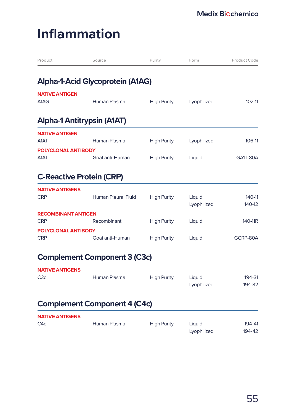# **Inflammation**

| Product                                  | Source                              | Purity             | Form                  | Product Code        |
|------------------------------------------|-------------------------------------|--------------------|-----------------------|---------------------|
|                                          | Alpha-1-Acid Glycoprotein (A1AG)    |                    |                       |                     |
| <b>NATIVE ANTIGEN</b><br>A1AG            | Human Plasma                        | <b>High Purity</b> | Lyophilized           | 102-11              |
| Alpha-1 Antitrypsin (A1AT)               |                                     |                    |                       |                     |
| <b>NATIVE ANTIGEN</b><br>A1AT            | Human Plasma                        | <b>High Purity</b> | Lyophilized           | 106-11              |
| POLYCLONAL ANTIBODY<br>A1AT              | Goat anti-Human                     | <b>High Purity</b> | Liquid                | GA1T-80A            |
| <b>C-Reactive Protein (CRP)</b>          |                                     |                    |                       |                     |
| <b>NATIVE ANTIGENS</b><br><b>CRP</b>     | Human Pleural Fluid                 | <b>High Purity</b> | Liquid<br>Lyophilized | 140-11<br>140-12    |
| <b>RECOMBINANT ANTIGEN</b><br><b>CRP</b> | Recombinant                         | <b>High Purity</b> | Liquid                | 140-11 <sub>R</sub> |
| POLYCLONAL ANTIBODY<br><b>CRP</b>        | Goat anti-Human                     | <b>High Purity</b> | Liquid                | GCRP-80A            |
|                                          | <b>Complement Component 3 (C3c)</b> |                    |                       |                     |
| <b>NATIVE ANTIGENS</b><br>C3c            | Human Plasma                        | <b>High Purity</b> | Liquid<br>Lyophilized | 194-31<br>194-32    |
|                                          | <b>Complement Component 4 (C4c)</b> |                    |                       |                     |
| <b>NATIVE ANTIGENS</b><br>C4c            | Human Plasma                        | <b>High Purity</b> | Liquid<br>Lyophilized | 194-41<br>194-42    |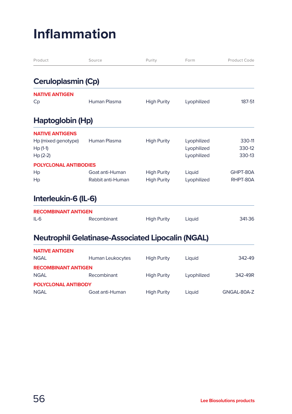# **Inflammation**

| Product                                                                 | Source                                                   | Purity                                   | Form                                      | Product Code               |
|-------------------------------------------------------------------------|----------------------------------------------------------|------------------------------------------|-------------------------------------------|----------------------------|
| Ceruloplasmin (Cp)                                                      |                                                          |                                          |                                           |                            |
| <b>NATIVE ANTIGEN</b><br>Cp                                             | Human Plasma                                             | <b>High Purity</b>                       | Lyophilized                               | 187-51                     |
| Haptoglobin (Hp)                                                        |                                                          |                                          |                                           |                            |
| <b>NATIVE ANTIGENS</b><br>Hp (mixed genotype)<br>$Hp(1-1)$<br>$Hp(2-2)$ | Human Plasma                                             | <b>High Purity</b>                       | Lyophilized<br>Lyophilized<br>Lyophilized | 330-11<br>330-12<br>330-13 |
| <b>POLYCLONAL ANTIBODIES</b><br>Hp<br>Hp                                | Goat anti-Human<br>Rabbit anti-Human                     | <b>High Purity</b><br><b>High Purity</b> | Liquid<br>Lyophilized                     | GHPT-80A<br>RHPT-80A       |
| Interleukin-6 (IL-6)                                                    |                                                          |                                          |                                           |                            |
| <b>RECOMBINANT ANTIGEN</b><br>$IL-6$                                    | Recombinant                                              | <b>High Purity</b>                       | Liquid                                    | 341-36                     |
|                                                                         | <b>Neutrophil Gelatinase-Associated Lipocalin (NGAL)</b> |                                          |                                           |                            |
| <b>NATIVE ANTIGEN</b><br><b>NGAL</b>                                    | Human Leukocytes                                         | <b>High Purity</b>                       | Liquid                                    | 342-49                     |
| <b>RECOMBINANT ANTIGEN</b><br><b>NGAL</b><br><b>POLYCLONAL ANTIBODY</b> | Recombinant                                              | <b>High Purity</b>                       | Lyophilized                               | 342-49R                    |

NGAL Goat anti-Human High Purity Liquid GNGAL-80A-Z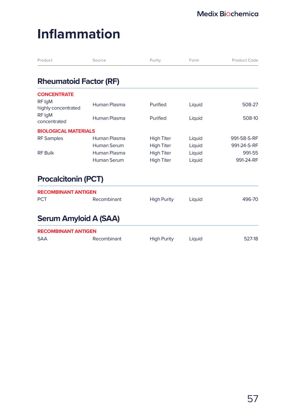# **Inflammation**

| Product                       | Source       | Purity             | Form   | Product Code |
|-------------------------------|--------------|--------------------|--------|--------------|
| <b>Rheumatoid Factor (RF)</b> |              |                    |        |              |
| <b>CONCENTRATE</b>            |              |                    |        |              |
| RF IgM<br>highly concentrated | Human Plasma | Purified           | Liquid | 508-27       |
| RF IgM<br>concentrated        | Human Plasma | Purified           | Liquid | 508-10       |
| <b>BIOLOGICAL MATERIALS</b>   |              |                    |        |              |
| <b>RF</b> Samples             | Human Plasma | <b>High Titer</b>  | Liquid | 991-58-S-RF  |
|                               | Human Serum  | <b>High Titer</b>  | Liquid | 991-24-S-RF  |
| <b>RF Bulk</b>                | Human Plasma | <b>High Titer</b>  | Liquid | 991-55       |
|                               | Human Serum  | <b>High Titer</b>  | Liquid | 991-24-RF    |
| <b>Procalcitonin (PCT)</b>    |              |                    |        |              |
| <b>RECOMBINANT ANTIGEN</b>    |              |                    |        |              |
| <b>PCT</b>                    | Recombinant  | <b>High Purity</b> | Liquid | 496-70       |
| <b>Serum Amyloid A (SAA)</b>  |              |                    |        |              |
| <b>RECOMBINANT ANTIGEN</b>    |              |                    |        |              |
| <b>SAA</b>                    | Recombinant  | <b>High Purity</b> | Liquid | 527-18       |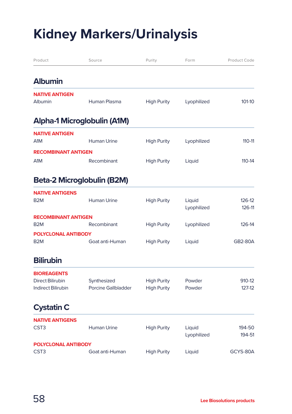# **Kidney Markers/Urinalysis**

| Product                                        | Source                            | Purity             | Form                  | Product Code     |
|------------------------------------------------|-----------------------------------|--------------------|-----------------------|------------------|
| <b>Albumin</b>                                 |                                   |                    |                       |                  |
| <b>NATIVE ANTIGEN</b><br>Albumin               | Human Plasma                      | <b>High Purity</b> | Lyophilized           | 101-10           |
|                                                | Alpha-1 Microglobulin (A1M)       |                    |                       |                  |
| <b>NATIVE ANTIGEN</b><br>A1M                   | Human Urine                       | <b>High Purity</b> | Lyophilized           | 110-11           |
| <b>RECOMBINANT ANTIGEN</b>                     |                                   |                    |                       |                  |
| A <sub>1</sub> M                               | Recombinant                       | <b>High Purity</b> | Liquid                | $110 - 14$       |
|                                                | <b>Beta-2 Microglobulin (B2M)</b> |                    |                       |                  |
| <b>NATIVE ANTIGENS</b><br>B <sub>2</sub> M     | <b>Human Urine</b>                | <b>High Purity</b> | Liquid<br>Lyophilized | 126-12<br>126-11 |
| <b>RECOMBINANT ANTIGEN</b>                     |                                   |                    |                       |                  |
| B <sub>2</sub> M                               | Recombinant                       | <b>High Purity</b> | Lyophilized           | 126-14           |
| <b>POLYCLONAL ANTIBODY</b><br>B <sub>2</sub> M | Goat anti-Human                   | <b>High Purity</b> | Liquid                | <b>GB2-80A</b>   |
| <b>Bilirubin</b>                               |                                   |                    |                       |                  |
| <b>BIOREAGENTS</b>                             |                                   |                    |                       |                  |
| <b>Direct Bilirubin</b>                        | Synthesized                       | <b>High Purity</b> | Powder                | 910-12           |
| <b>Indirect Bilirubin</b>                      | <b>Porcine Gallbladder</b>        | <b>High Purity</b> | Powder                | $127-12$         |
| <b>Cystatin C</b>                              |                                   |                    |                       |                  |
| <b>NATIVE ANTIGENS</b><br>CST <sub>3</sub>     | <b>Human Urine</b>                | <b>High Purity</b> | Liquid<br>Lyophilized | 194-50<br>194-51 |
| <b>POLYCLONAL ANTIBODY</b><br>CST <sub>3</sub> | Goat anti-Human                   | <b>High Purity</b> | Liquid                | GCYS-80A         |
|                                                |                                   |                    |                       |                  |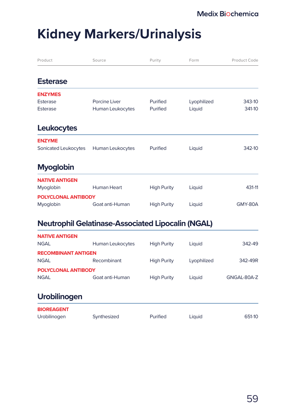### **Kidney Markers/Urinalysis**

| Product               | Source           | Purity             | Form        | Product Code |
|-----------------------|------------------|--------------------|-------------|--------------|
| <b>Esterase</b>       |                  |                    |             |              |
| <b>ENZYMES</b>        |                  |                    |             |              |
| Esterase              | Porcine Liver    | Purified           | Lyophilized | 343-10       |
| Esterase              | Human Leukocytes | Purified           | Liquid      | 341-10       |
| <b>Leukocytes</b>     |                  |                    |             |              |
| <b>ENZYME</b>         |                  |                    |             |              |
| Sonicated Leukocytes  | Human Leukocytes | Purified           | Liquid      | 342-10       |
| <b>Myoglobin</b>      |                  |                    |             |              |
| <b>NATIVE ANTIGEN</b> |                  |                    |             |              |
| Myoglobin             | Human Heart      | <b>High Purity</b> | Liquid      | 431-11       |
| POLYCLONAL ANTIBODY   |                  |                    |             |              |
| Myoglobin             | Goat anti-Human  | <b>High Purity</b> | Liquid      | GMY-80A      |

#### **Neutrophil Gelatinase-Associated Lipocalin (NGAL)**

| <b>NATIVE ANTIGEN</b>      |                  |                    |             |             |
|----------------------------|------------------|--------------------|-------------|-------------|
| <b>NGAL</b>                | Human Leukocytes | <b>High Purity</b> | Liauid      | 342-49      |
| <b>RECOMBINANT ANTIGEN</b> |                  |                    |             |             |
| <b>NGAL</b>                | Recombinant      | <b>High Purity</b> | Lyophilized | 342-49R     |
| POLYCLONAL ANTIBODY        |                  |                    |             |             |
| <b>NGAL</b>                | Goat anti-Human  | <b>High Purity</b> | Liauid      | GNGAL-80A-Z |
|                            |                  |                    |             |             |
| <b>Lleabilinggan</b>       |                  |                    |             |             |

| <b>Uropilinogen</b> |             |          |        |        |  |
|---------------------|-------------|----------|--------|--------|--|
| <b>BIOREAGENT</b>   |             |          |        |        |  |
| Urobilinogen        | Synthesized | Purified | Liauid | 651-10 |  |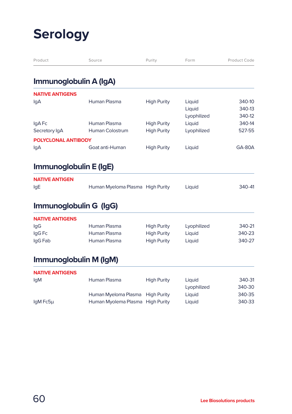### **Serology**

| Product                    | Source                           | Purity             | Form        | Product Code  |
|----------------------------|----------------------------------|--------------------|-------------|---------------|
| Immunoglobulin A (IgA)     |                                  |                    |             |               |
| <b>NATIVE ANTIGENS</b>     |                                  |                    |             |               |
| IgA                        | Human Plasma                     | <b>High Purity</b> | Liquid      | 340-10        |
|                            |                                  |                    | Liquid      | 340-13        |
|                            |                                  |                    | Lyophilized | 340-12        |
| IgA Fc                     | Human Plasma                     | <b>High Purity</b> | Liquid      | 340-14        |
| Secretory IgA              | <b>Human Colostrum</b>           | <b>High Purity</b> | Lyophilized | 527-55        |
| <b>POLYCLONAL ANTIBODY</b> |                                  |                    |             |               |
| lgA                        | Goat anti-Human                  | <b>High Purity</b> | Liquid      | <b>GA-80A</b> |
| Immunoglobulin E (IgE)     |                                  |                    |             |               |
| <b>NATIVE ANTIGEN</b>      |                                  |                    |             |               |
| lgE                        | Human Myeloma Plasma High Purity |                    | Liquid      | 340-41        |
|                            | Immunoglobulin G (IgG)           |                    |             |               |
| <b>NATIVE ANTIGENS</b>     |                                  |                    |             |               |
| lgG                        | Human Plasma                     | <b>High Purity</b> | Lyophilized | 340-21        |
| IgG Fc                     | Human Plasma                     | <b>High Purity</b> | Liquid      | 340-23        |
| IgG Fab                    | Human Plasma                     | <b>High Purity</b> | Liquid      | 340-27        |
|                            | Immunoglobulin M (IgM)           |                    |             |               |
| <b>NATIVE ANTIGENS</b>     |                                  |                    |             |               |
| lgM                        | Human Plasma                     | <b>High Purity</b> | Liquid      | 340-31        |
|                            |                                  |                    | Lyophilized | 340-30        |
|                            | Human Myeloma Plasma High Purity |                    | Liquid      | 340-35        |
| IgM Fc5µ                   | Human Myolema Plasma High Purity |                    | Liquid      | 340-33        |
|                            |                                  |                    |             |               |
|                            |                                  |                    |             |               |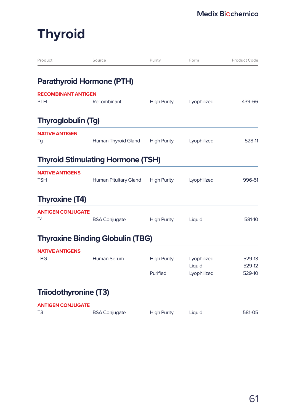# **Thyroid**

| Product                                  | Source                                   | Purity                         | Form                                 | Product Code               |
|------------------------------------------|------------------------------------------|--------------------------------|--------------------------------------|----------------------------|
|                                          | <b>Parathyroid Hormone (PTH)</b>         |                                |                                      |                            |
| <b>RECOMBINANT ANTIGEN</b><br><b>PTH</b> | Recombinant                              | <b>High Purity</b>             | Lyophilized                          | 439-66                     |
| <b>Thyroglobulin (Tg)</b>                |                                          |                                |                                      |                            |
| <b>NATIVE ANTIGEN</b><br>Tg              | Human Thyroid Gland                      | <b>High Purity</b>             | Lyophilized                          | 528-11                     |
|                                          | <b>Thyroid Stimulating Hormone (TSH)</b> |                                |                                      |                            |
| <b>NATIVE ANTIGENS</b><br><b>TSH</b>     | Human Pituitary Gland                    | <b>High Purity</b>             | Lyophilized                          | 996-51                     |
| <b>Thyroxine (T4)</b>                    |                                          |                                |                                      |                            |
| <b>ANTIGEN CONJUGATE</b><br>T4           | <b>BSA Conjugate</b>                     | <b>High Purity</b>             | Liquid                               | 581-10                     |
|                                          | <b>Thyroxine Binding Globulin (TBG)</b>  |                                |                                      |                            |
| <b>NATIVE ANTIGENS</b><br><b>TBG</b>     | <b>Human Serum</b>                       | <b>High Purity</b><br>Purified | Lyophilized<br>Liquid<br>Lyophilized | 529-13<br>529-12<br>529-10 |
| Triiodothyronine (T3)                    |                                          |                                |                                      |                            |
| <b>ANTIGEN CONJUGATE</b><br>T3           | <b>BSA Conjugate</b>                     | <b>High Purity</b>             | Liquid                               | 581-05                     |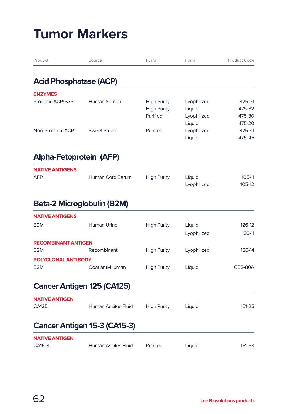| Product                       | Source                            | Purity             | Form        | Product Code   |
|-------------------------------|-----------------------------------|--------------------|-------------|----------------|
| <b>Acid Phosphatase (ACP)</b> |                                   |                    |             |                |
| <b>ENZYMES</b>                |                                   |                    |             |                |
| Prostatic ACP/PAP             | Human Semen                       | <b>High Purity</b> | Lyophilized | 475-31         |
|                               |                                   | <b>High Purity</b> | Liquid      | 475-32         |
|                               |                                   | Purified           | Lyophilized | 475-30         |
|                               |                                   |                    | Liquid      | 475-20         |
| <b>Non-Prostatic ACP</b>      | <b>Sweet Potato</b>               | Purified           | Lyophilized | 475-41         |
|                               |                                   |                    | Liquid      | 475-45         |
| Alpha-Fetoprotein (AFP)       |                                   |                    |             |                |
| <b>NATIVE ANTIGENS</b>        |                                   |                    |             |                |
| <b>AFP</b>                    | <b>Human Cord Serum</b>           | <b>High Purity</b> | Liquid      | 105-11         |
|                               |                                   |                    | Lyophilized | 105-12         |
|                               | Beta-2 Microglobulin (B2M)        |                    |             |                |
| <b>NATIVE ANTIGENS</b>        |                                   |                    |             |                |
| B <sub>2</sub> M              | <b>Human Urine</b>                | <b>High Purity</b> | Liquid      | 126-12         |
|                               |                                   |                    | Lyophilized | 126-11         |
| <b>RECOMBINANT ANTIGEN</b>    |                                   |                    |             |                |
| B <sub>2</sub> M              | Recombinant                       | <b>High Purity</b> | Lyophilized | 126-14         |
| POLYCLONAL ANTIBODY           |                                   |                    |             |                |
| B <sub>2</sub> M              | Goat anti-Human                   | <b>High Purity</b> | Liquid      | <b>GB2-80A</b> |
|                               | <b>Cancer Antigen 125 (CA125)</b> |                    |             |                |
| <b>NATIVE ANTIGEN</b>         |                                   |                    |             |                |
| CA125                         | <b>Human Ascites Fluid</b>        | <b>High Purity</b> | Liquid      | 151-25         |
|                               | Cancer Antigen 15-3 (CA15-3)      |                    |             |                |
| <b>NATIVE ANTIGEN</b>         |                                   |                    |             |                |
| CA15-3                        | <b>Human Ascites Fluid</b>        | Purified           | Liquid      | 151-53         |
|                               |                                   |                    |             |                |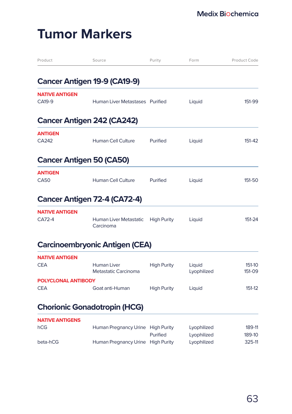| Product                           | Source                                     | Purity             | Form                       | Product Code     |
|-----------------------------------|--------------------------------------------|--------------------|----------------------------|------------------|
|                                   | <b>Cancer Antigen 19-9 (CA19-9)</b>        |                    |                            |                  |
| <b>NATIVE ANTIGEN</b><br>CA19-9   | Human Liver Metastases Purified            |                    | Liquid                     | 151-99           |
|                                   | <b>Cancer Antigen 242 (CA242)</b>          |                    |                            |                  |
| <b>ANTIGEN</b><br>CA242           | <b>Human Cell Culture</b>                  | Purified           | Liquid                     | 151-42           |
|                                   | <b>Cancer Antigen 50 (CA50)</b>            |                    |                            |                  |
| <b>ANTIGEN</b><br><b>CA50</b>     | <b>Human Cell Culture</b>                  | Purified           | Liquid                     | 151-50           |
|                                   | Cancer Antigen 72-4 (CA72-4)               |                    |                            |                  |
| <b>NATIVE ANTIGEN</b><br>CA72-4   | Human Liver Metastatic<br>Carcinoma        | <b>High Purity</b> | Liquid                     | 151-24           |
|                                   | <b>Carcinoembryonic Antigen (CEA)</b>      |                    |                            |                  |
| <b>NATIVE ANTIGEN</b><br>CEA      | <b>Human Liver</b><br>Metastatic Carcinoma | <b>High Purity</b> | Liquid<br>Lyophilized      | 151-10<br>151-09 |
| POLYCLONAL ANTIBODY<br><b>CEA</b> | Goat anti-Human                            | <b>High Purity</b> | Liquid                     | 151-12           |
|                                   | <b>Chorionic Gonadotropin (HCG)</b>        |                    |                            |                  |
| <b>NATIVE ANTIGENS</b><br>hCG     | Human Pregnancy Urine High Purity          | Purified           | Lyophilized                | 189-11<br>189-10 |
| beta-hCG                          | Human Pregnancy Urine High Purity          |                    | Lyophilized<br>Lyophilized | 325-11           |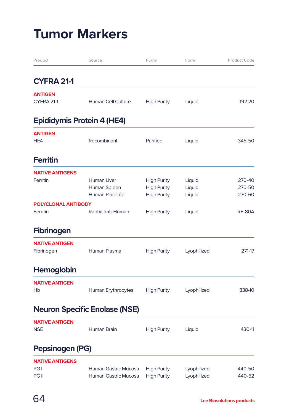| Product                    | Source                               | Purity             | Form        | Product Code  |
|----------------------------|--------------------------------------|--------------------|-------------|---------------|
| <b>CYFRA 21-1</b>          |                                      |                    |             |               |
| <b>ANTIGEN</b>             |                                      |                    |             |               |
| CYFRA 21-1                 | <b>Human Cell Culture</b>            | <b>High Purity</b> | Liquid      | 192-20        |
|                            | <b>Epididymis Protein 4 (HE4)</b>    |                    |             |               |
| <b>ANTIGEN</b>             |                                      |                    |             |               |
| HE4                        | Recombinant                          | Purified           | Liquid      | 345-50        |
| <b>Ferritin</b>            |                                      |                    |             |               |
| <b>NATIVE ANTIGENS</b>     |                                      |                    |             |               |
| Ferritin                   | <b>Human Liver</b>                   | <b>High Purity</b> | Liquid      | 270-40        |
|                            | Human Spleen                         | <b>High Purity</b> | Liquid      | 270-50        |
|                            | Human Placenta                       | <b>High Purity</b> | Liquid      | 270-60        |
| <b>POLYCLONAL ANTIBODY</b> |                                      |                    |             |               |
| Ferritin                   | Rabbit anti-Human                    | <b>High Purity</b> | Liquid      | <b>RF-80A</b> |
| <b>Fibrinogen</b>          |                                      |                    |             |               |
| <b>NATIVE ANTIGEN</b>      |                                      |                    |             |               |
| Fibrinogen                 | Human Plasma                         | <b>High Purity</b> | Lyophilized | 271-17        |
| <b>Hemoglobin</b>          |                                      |                    |             |               |
| <b>NATIVE ANTIGEN</b>      |                                      |                    |             |               |
| Hb                         | Human Erythrocytes                   | <b>High Purity</b> | Lyophilized | 338-10        |
|                            | <b>Neuron Specific Enolase (NSE)</b> |                    |             |               |
| <b>NATIVE ANTIGEN</b>      |                                      |                    |             |               |
| <b>NSE</b>                 | Human Brain                          | <b>High Purity</b> | Liquid      | 430-11        |
| Pepsinogen (PG)            |                                      |                    |             |               |
| <b>NATIVE ANTIGENS</b>     |                                      |                    |             |               |
| PG <sub>I</sub>            | Human Gastric Mucosa                 | <b>High Purity</b> | Lyophilized | 440-50        |
| PG II                      | Human Gastric Mucosa                 | <b>High Purity</b> | Lyophilized | 440-52        |
|                            |                                      |                    |             |               |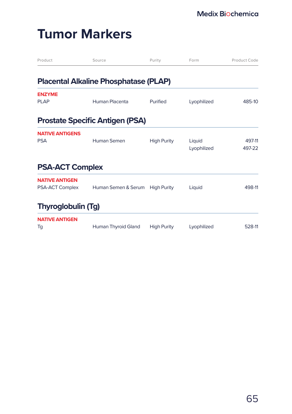| Product                   | Source                                       | Purity             | Form        | Product Code |
|---------------------------|----------------------------------------------|--------------------|-------------|--------------|
|                           | <b>Placental Alkaline Phosphatase (PLAP)</b> |                    |             |              |
| <b>ENZYME</b>             |                                              |                    |             |              |
| <b>PLAP</b>               | Human Placenta                               | Purified           | Lyophilized | 485-10       |
|                           | <b>Prostate Specific Antigen (PSA)</b>       |                    |             |              |
| <b>NATIVE ANTIGENS</b>    |                                              |                    |             |              |
| <b>PSA</b>                | Human Semen                                  | <b>High Purity</b> | Liquid      | 497-11       |
|                           |                                              |                    | Lyophilized | 497-22       |
| <b>PSA-ACT Complex</b>    |                                              |                    |             |              |
| <b>NATIVE ANTIGEN</b>     |                                              |                    |             |              |
| PSA-ACT Complex           | Human Semen & Serum                          | <b>High Purity</b> | Liquid      | 498-11       |
| <b>Thyroglobulin (Tg)</b> |                                              |                    |             |              |
| <b>NATIVE ANTIGEN</b>     |                                              |                    |             |              |
| Tg                        | Human Thyroid Gland                          | <b>High Purity</b> | Lyophilized | 528-11       |
|                           |                                              |                    |             |              |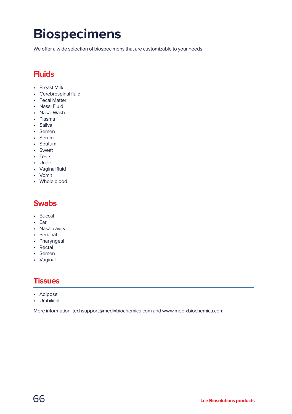### **Biospecimens**

We offer a wide selection of biospecimens that are customizable to your needs.

#### **Fluids**

- Breast Milk
- Cerebrospinal fluid
- Fecal Matter
- Nasal Fluid
- Nasal Wash
- Plasma
- Saliva
- Semen
- Serum
- Sputum
- Sweat
- Tears
- Urine
- Vaginal fluid
- Vomit
- Whole blood

#### **Swabs**

- Buccal
- Ear
- Nasal cavity
- Perianal
- Pharyngeal
- Rectal
- Semen
- Vaginal

#### **Tissues**

- Adipose
- Umbilical

More information: techsupport@medixbiochemica.com and www.medixbiochemica.com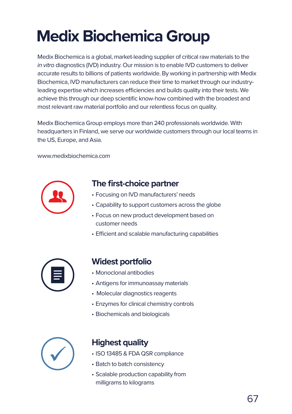# **Medix Biochemica Group**

Medix Biochemica is a global, market-leading supplier of critical raw materials to the *in vitro* diagnostics (IVD) industry. Our mission is to enable IVD customers to deliver accurate results to billions of patients worldwide. By working in partnership with Medix Biochemica, IVD manufacturers can reduce their time to market through our industryleading expertise which increases efficiencies and builds quality into their tests. We achieve this through our deep scientific know-how combined with the broadest and most relevant raw material portfolio and our relentless focus on quality.

Medix Biochemica Group employs more than 240 professionals worldwide. With headquarters in Finland, we serve our worldwide customers through our local teams in the US, Europe, and Asia.

www.medixbiochemica.com



#### **The first-choice partner**

- Focusing on IVD manufacturers' needs
- Capability to support customers across the globe
- Focus on new product development based on customer needs
- Efficient and scalable manufacturing capabilities



#### **Widest portfolio**

- Monoclonal antibodies
- Antigens for immunoassay materials
- Molecular diagnostics reagents
- Enzymes for clinical chemistry controls
- Biochemicals and biologicals



#### **Highest quality**

- ISO 13485 & FDA QSR compliance
- Batch to batch consistency
- Scalable production capability from milligrams to kilograms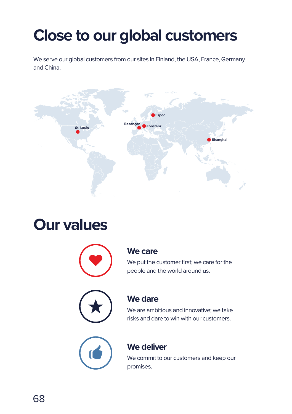# **Close to our global customers**

We serve our global customers from our sites in Finland, the USA, France, Germany and China.



### **Our values**



#### **We care**

We put the customer first; we care for the people and the world around us.



#### **We dare**

We are ambitious and innovative; we take risks and dare to win with our customers.



#### **We deliver**

We commit to our customers and keep our promises.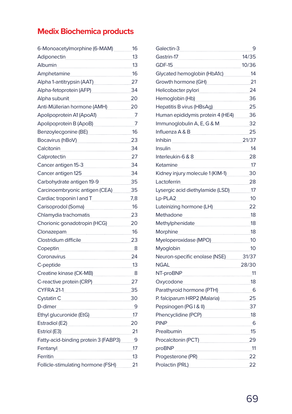#### **Medix Biochemica products**

|                                                                                                                  | 16 |
|------------------------------------------------------------------------------------------------------------------|----|
| Adiponectin 13                                                                                                   |    |
| Albumin 13                                                                                                       |    |
| Amphetamine 16                                                                                                   |    |
| Alpha 1-antitrypsin (AAT) 27                                                                                     |    |
| Alpha-fetoprotein (AFP) 34                                                                                       |    |
|                                                                                                                  |    |
| Anti-Müllerian hormone (AMH) 20                                                                                  |    |
|                                                                                                                  |    |
| Apolipoprotein B (ApoB) 7                                                                                        |    |
| Benzoylecgonine (BE) 16                                                                                          |    |
| Bocavirus (hBoV) 23                                                                                              |    |
| Calcitonin <sub>200</sub> 34                                                                                     |    |
| Calprotectin 27                                                                                                  |    |
| Cancer antigen 15-3<br>24                                                                                        |    |
| Cancer antigen 125 34                                                                                            |    |
| Carbohydrate antigen 19-9                                                                                        |    |
| Carcinoembryonic antigen (CEA) 35                                                                                |    |
| Cardiac troponin I and T<br>7,8                                                                                  |    |
| Carisoprodol (Soma) 16                                                                                           |    |
| Chlamydia trachomatis 23                                                                                         |    |
| Chorionic gonadotropin (HCG) 20                                                                                  |    |
|                                                                                                                  |    |
|                                                                                                                  |    |
| Copeptin 8                                                                                                       |    |
| Coronavirus 24                                                                                                   |    |
| C-peptide 13                                                                                                     |    |
| Creatine kinase (CK-MB) 8                                                                                        |    |
| C-reactive protein (CRP) 27                                                                                      |    |
| CYFRA 21-1 35                                                                                                    |    |
| Cystatin Carrier and Cystatin Carrier and Cystatin Carrier and Cystatin Carrier and Cystatin Communist Cystation |    |
| D-dimer 9                                                                                                        |    |
| Ethyl glucuronide (EtG) [17] The Manuscript Manuscript Manuscript Manuscript Manuscript Manuscript Manuscript M  |    |
| Estradiol (E2) 20                                                                                                |    |
| Estriol (E3) 21                                                                                                  |    |
| Fatty-acid-binding protein 3 (FABP3) 9                                                                           |    |
| Fentanyl 17                                                                                                      |    |
| Ferritin 13                                                                                                      |    |
| Follicle-stimulating hormone (FSH) 21                                                                            |    |

|                                               | 9  |
|-----------------------------------------------|----|
| Gastrin-17 14/35                              |    |
| GDF-15 10/36                                  |    |
| Glycated hemoglobin (HbA1c) 14                |    |
| Growth hormone (GH) 21                        |    |
|                                               |    |
| Hemoglobin (Hb) 36                            |    |
| Hepatitis B virus (HBsAg) 25                  |    |
| Human epididymis protein 4 (HE4) 36           |    |
| Immunoglobulin A, E, G & M. 32                |    |
|                                               | 25 |
| Inhibin 21/37                                 |    |
|                                               | 14 |
| Interleukin-6 & 8                             |    |
| Ketamine 17                                   |    |
| Kidney injury molecule 1 (KIM-1) 30           |    |
| Lactoferrin 28                                |    |
| Lysergic acid diethylamide (LSD) __________17 |    |
| Lp-PLA2 10                                    |    |
| Luteinizing hormone (LH) 22                   |    |
| Methadone 18                                  |    |
|                                               |    |
| Morphine 18                                   |    |
| Myeloperoxidase (MPO) 40                      |    |
|                                               |    |
| Neuron-specific enolase (NSE) 31/37           |    |
|                                               |    |
| NT-proBNP 11                                  |    |
| Oxycodone 18                                  |    |
| Parathyroid hormone (PTH) 6                   |    |
| P. falciparum HRP2 (Malaria) 25               |    |
| Pepsinogen (PG I & II) 37                     |    |
| Phencyclidine (PCP)<br>18                     |    |
| <b>PINP</b>                                   |    |
|                                               |    |
| Procalcitonin (PCT) 29                        |    |
|                                               |    |
| Progesterone (PR) 22                          |    |
| Prolactin (PRL) 22                            |    |
|                                               |    |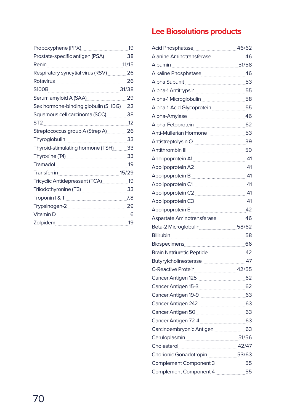| Propoxyphene (PPX)                    | 19    |
|---------------------------------------|-------|
| Prostate-specific antigen (PSA)       | 38    |
| Renin                                 | 11/15 |
| Respiratory syncytial virus (RSV)     | 26    |
| Rotavirus                             | 26    |
| <b>S100B</b>                          | 31/38 |
| Serum amyloid A (SAA)                 | 29    |
| Sex hormone-binding globulin (SHBG)   | 22    |
| Squamous cell carcinoma (SCC)         | 38    |
| ST <sub>2</sub>                       | 12    |
| Streptococcus group A (Strep A)       | 26    |
| Thyroglobulin                         | 33    |
| Thyroid-stimulating hormone (TSH)     | 33    |
| Thyroxine (T4)                        | 33    |
| Tramadol                              | 19    |
| <b>Transferrin</b>                    | 15/29 |
| <b>Tricyclic Antidepressant (TCA)</b> | 19    |
| Triiodothyronine (T3)                 | 33    |
| Troponin I & T                        | 7,8   |
| Trypsinogen-2                         | 29    |
| Vitamin D                             | 6     |
| Zolpidem                              | 19    |

#### **Lee Biosolutions products**

| Alanine Aminotransferase 2008                                                |    |
|------------------------------------------------------------------------------|----|
| Albumin 51/58                                                                |    |
|                                                                              |    |
|                                                                              |    |
| Alpha-1 Antitrypsin Manuel Alpha-1 Antitrypsin                               |    |
| Alpha-1 Microglobulin [11] 58                                                |    |
|                                                                              |    |
|                                                                              |    |
| Alpha-Fetoprotein 2004                                                       |    |
| Anti-Müllerian Hormone 33                                                    |    |
| Antistreptolysin O 39                                                        |    |
| Antithrombin III 50                                                          |    |
| Apolipoprotein A1 41                                                         |    |
| Apolipoprotein A2 41                                                         |    |
|                                                                              |    |
|                                                                              |    |
| Apolipoprotein C2 41                                                         |    |
| Apolipoprotein C3 41                                                         |    |
|                                                                              |    |
|                                                                              |    |
| Beta-2 Microglobulin 58/62                                                   |    |
| Bilirubin 58                                                                 |    |
|                                                                              |    |
| Brain Natriuretic Peptide 2012 12                                            |    |
|                                                                              |    |
| C-Reactive Protein 42/55                                                     |    |
|                                                                              |    |
|                                                                              |    |
| Cancer Antigen 19-9 63                                                       |    |
|                                                                              |    |
| Cancer Antigen 50 [1994] [2010] [63                                          |    |
| Cancer Antigen 72-4 [100] [63]                                               |    |
| Carcinoembryonic Antigen [1974] 63                                           |    |
| Ceruloplasmin 199756                                                         |    |
| Cholesterol 42/47                                                            |    |
| Chorionic Gonadotropin <b>National Chorionic Gonadotropin</b> <sub>200</sub> |    |
| Complement Component 3                                                       |    |
| Complement Component 4                                                       | 55 |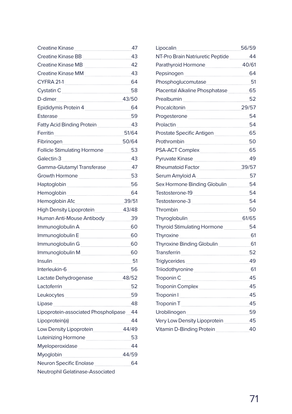| Creatine Kinase 27                                                                                             |  |
|----------------------------------------------------------------------------------------------------------------|--|
|                                                                                                                |  |
| Creatine Kinase MB 42                                                                                          |  |
|                                                                                                                |  |
| CYFRA 21-1 64                                                                                                  |  |
| Cystatin C <sub>2000</sub> 58                                                                                  |  |
|                                                                                                                |  |
| Epididymis Protein 4 <b>Martin 1</b> 64                                                                        |  |
|                                                                                                                |  |
| Fatty Acid Binding Protein 243                                                                                 |  |
| Ferritin 2008 20164                                                                                            |  |
| Fibrinogen 50/64                                                                                               |  |
|                                                                                                                |  |
|                                                                                                                |  |
|                                                                                                                |  |
| Growth Hormone 33                                                                                              |  |
| Haptoglobin 56                                                                                                 |  |
| Hemoglobin ___________________________________64                                                               |  |
| Hemoglobin A1c 39/51                                                                                           |  |
| High Density Lipoprotein 43/48                                                                                 |  |
| Human Anti-Mouse Antibody 29                                                                                   |  |
| Immunoglobulin A __________________________60                                                                  |  |
| Immunoglobulin E [1994] Manuscription of the Manuscription of the Manuscription of the Manuscription of the Ma |  |
|                                                                                                                |  |
| Immunoglobulin M <sub>mmuno</sub> 60                                                                           |  |
| <u>Insuline 51</u>                                                                                             |  |
|                                                                                                                |  |
| Lactate Dehydrogenase 48/52                                                                                    |  |
| Lactoferrin 52                                                                                                 |  |
|                                                                                                                |  |
| Lipase 48                                                                                                      |  |
| Lipoprotein-associated Phospholipase 44                                                                        |  |
| Lipoprotein(a) 44                                                                                              |  |
| Low Density Lipoprotein 44/49                                                                                  |  |
|                                                                                                                |  |
| Myeloperoxidase 44                                                                                             |  |
| Myoglobin 44/59                                                                                                |  |
| Neuron Specific Enolase _________________64                                                                    |  |
| Neutrophil Gelatinase-Associated                                                                               |  |

|                                                              | 56/59 |
|--------------------------------------------------------------|-------|
|                                                              | -44   |
| Parathyroid Hormone 40/61                                    |       |
| Pepsinogen [1994] [64]                                       |       |
|                                                              |       |
| Placental Alkaline Phosphatase 65                            |       |
| Prealbumin 2020 52                                           |       |
| Procalcitonin 29/57                                          |       |
| Progesterone 54                                              |       |
| Prolactin 54                                                 |       |
| Prostate Specific Antigen [1994] [65]                        |       |
| Prothrombin 50                                               |       |
|                                                              |       |
| Pyruvate Kinase <b>manual and Alace</b> 49                   |       |
| Rheumatoid Factor <b>Market Action</b> 39/57                 |       |
| Serum Amyloid A _____________________________57              |       |
| Sex Hormone Binding Globulin __________54                    |       |
| Testosterone-19 54                                           |       |
| Testosterone-3 54                                            |       |
| Thrombin 50                                                  |       |
| Thyroglobulin 61/65                                          |       |
| Thyroid Stimulating Hormone 54                               |       |
|                                                              |       |
|                                                              |       |
| Transferrin 52                                               |       |
|                                                              |       |
| Triiodothyronine <b>contained a manufacture of the CO</b> 61 |       |
|                                                              |       |
| Troponin Complex 25                                          |       |
|                                                              |       |
|                                                              |       |
| Urobilinogen _____________________________59                 |       |
| Very Low Density Lipoprotein ______________45                |       |
| Vitamin D-Binding Protein 20 40                              |       |
|                                                              |       |